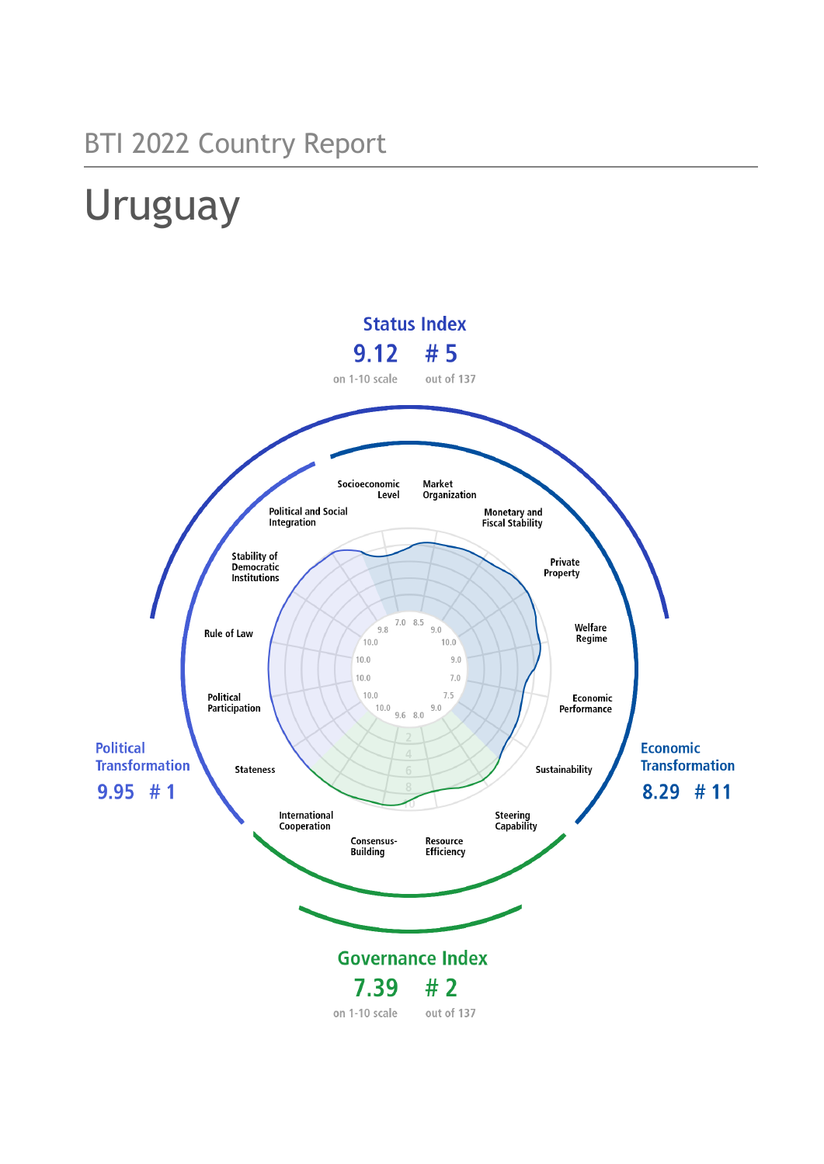# BTI 2022 Country Report

# Uruguay

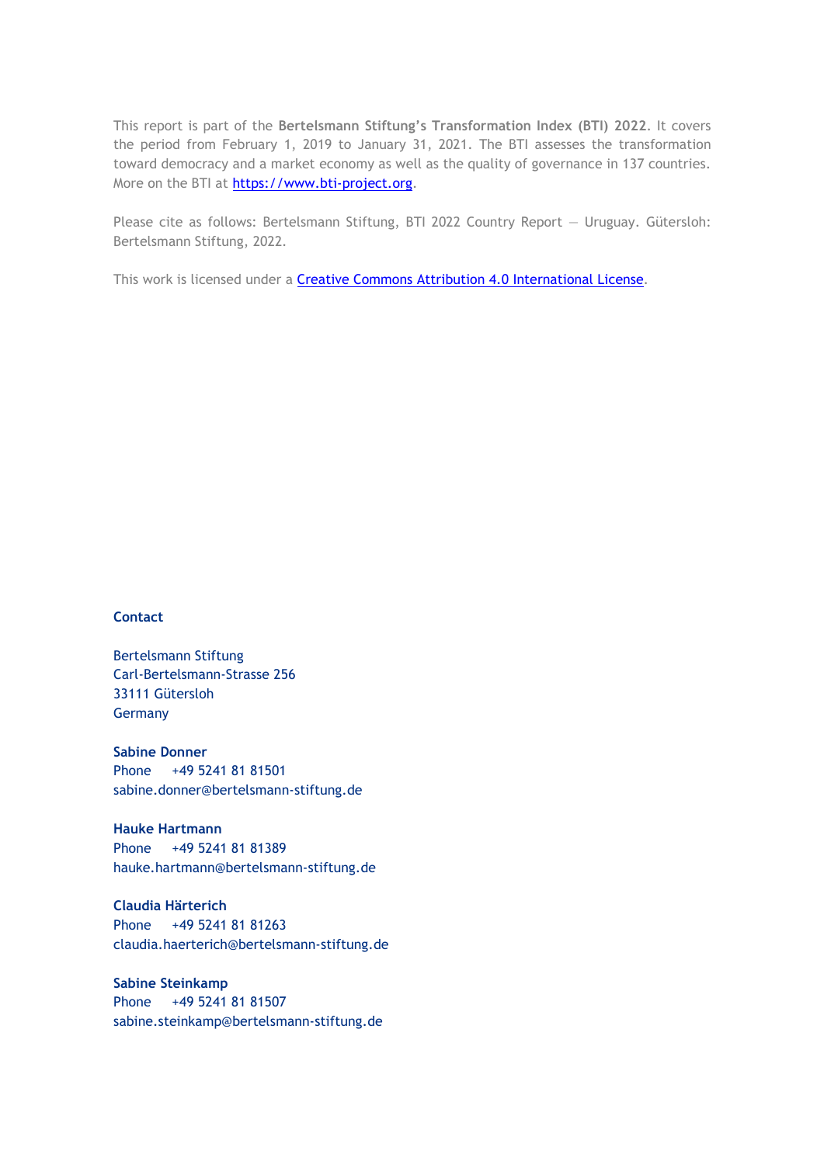This report is part of the **Bertelsmann Stiftung's Transformation Index (BTI) 2022**. It covers the period from February 1, 2019 to January 31, 2021. The BTI assesses the transformation toward democracy and a market economy as well as the quality of governance in 137 countries. More on the BTI at [https://www.bti-project.org.](https://www.bti-project.org/)

Please cite as follows: Bertelsmann Stiftung, BTI 2022 Country Report — Uruguay. Gütersloh: Bertelsmann Stiftung, 2022.

This work is licensed under a **Creative Commons Attribution 4.0 International License**.

### **Contact**

Bertelsmann Stiftung Carl-Bertelsmann-Strasse 256 33111 Gütersloh Germany

**Sabine Donner** Phone +49 5241 81 81501 sabine.donner@bertelsmann-stiftung.de

**Hauke Hartmann** Phone +49 5241 81 81389 hauke.hartmann@bertelsmann-stiftung.de

**Claudia Härterich** Phone +49 5241 81 81263 claudia.haerterich@bertelsmann-stiftung.de

### **Sabine Steinkamp** Phone +49 5241 81 81507 sabine.steinkamp@bertelsmann-stiftung.de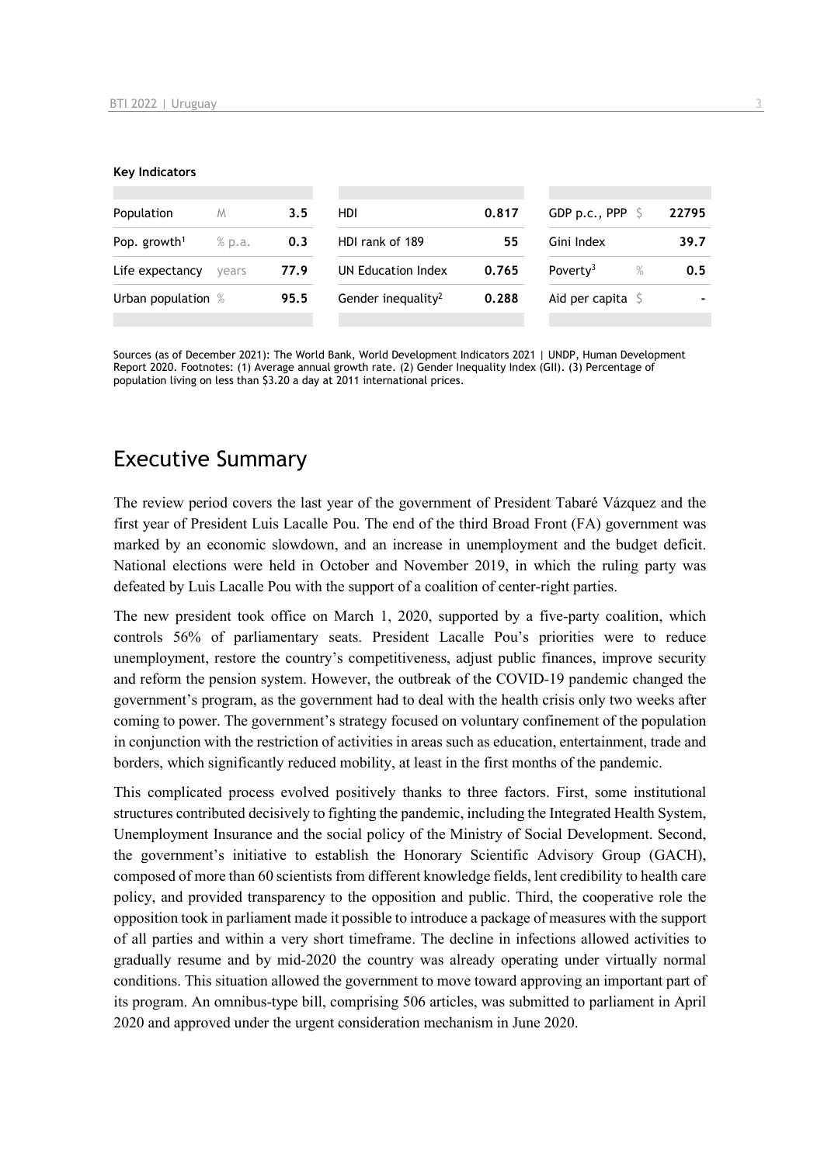#### **Key Indicators**

| Population               | M      | 3.5  | HDI                            | 0.817 | GDP p.c., PPP $\ S$          | 22795 |
|--------------------------|--------|------|--------------------------------|-------|------------------------------|-------|
| Pop. growth <sup>1</sup> | % p.a. | 0.3  | HDI rank of 189                | 55    | Gini Index                   | 39.7  |
| Life expectancy          | vears  | 77.9 | UN Education Index             | 0.765 | $\%$<br>Poverty <sup>3</sup> | 0.5   |
| Urban population %       |        | 95.5 | Gender inequality <sup>2</sup> | 0.288 | Aid per capita $\sqrt{5}$    |       |
|                          |        |      |                                |       |                              |       |

Sources (as of December 2021): The World Bank, World Development Indicators 2021 | UNDP, Human Development Report 2020. Footnotes: (1) Average annual growth rate. (2) Gender Inequality Index (GII). (3) Percentage of population living on less than \$3.20 a day at 2011 international prices.

# Executive Summary

The review period covers the last year of the government of President Tabaré Vázquez and the first year of President Luis Lacalle Pou. The end of the third Broad Front (FA) government was marked by an economic slowdown, and an increase in unemployment and the budget deficit. National elections were held in October and November 2019, in which the ruling party was defeated by Luis Lacalle Pou with the support of a coalition of center-right parties.

The new president took office on March 1, 2020, supported by a five-party coalition, which controls 56% of parliamentary seats. President Lacalle Pou's priorities were to reduce unemployment, restore the country's competitiveness, adjust public finances, improve security and reform the pension system. However, the outbreak of the COVID-19 pandemic changed the government's program, as the government had to deal with the health crisis only two weeks after coming to power. The government's strategy focused on voluntary confinement of the population in conjunction with the restriction of activities in areas such as education, entertainment, trade and borders, which significantly reduced mobility, at least in the first months of the pandemic.

This complicated process evolved positively thanks to three factors. First, some institutional structures contributed decisively to fighting the pandemic, including the Integrated Health System, Unemployment Insurance and the social policy of the Ministry of Social Development. Second, the government's initiative to establish the Honorary Scientific Advisory Group (GACH), composed of more than 60 scientists from different knowledge fields, lent credibility to health care policy, and provided transparency to the opposition and public. Third, the cooperative role the opposition took in parliament made it possible to introduce a package of measures with the support of all parties and within a very short timeframe. The decline in infections allowed activities to gradually resume and by mid-2020 the country was already operating under virtually normal conditions. This situation allowed the government to move toward approving an important part of its program. An omnibus-type bill, comprising 506 articles, was submitted to parliament in April 2020 and approved under the urgent consideration mechanism in June 2020.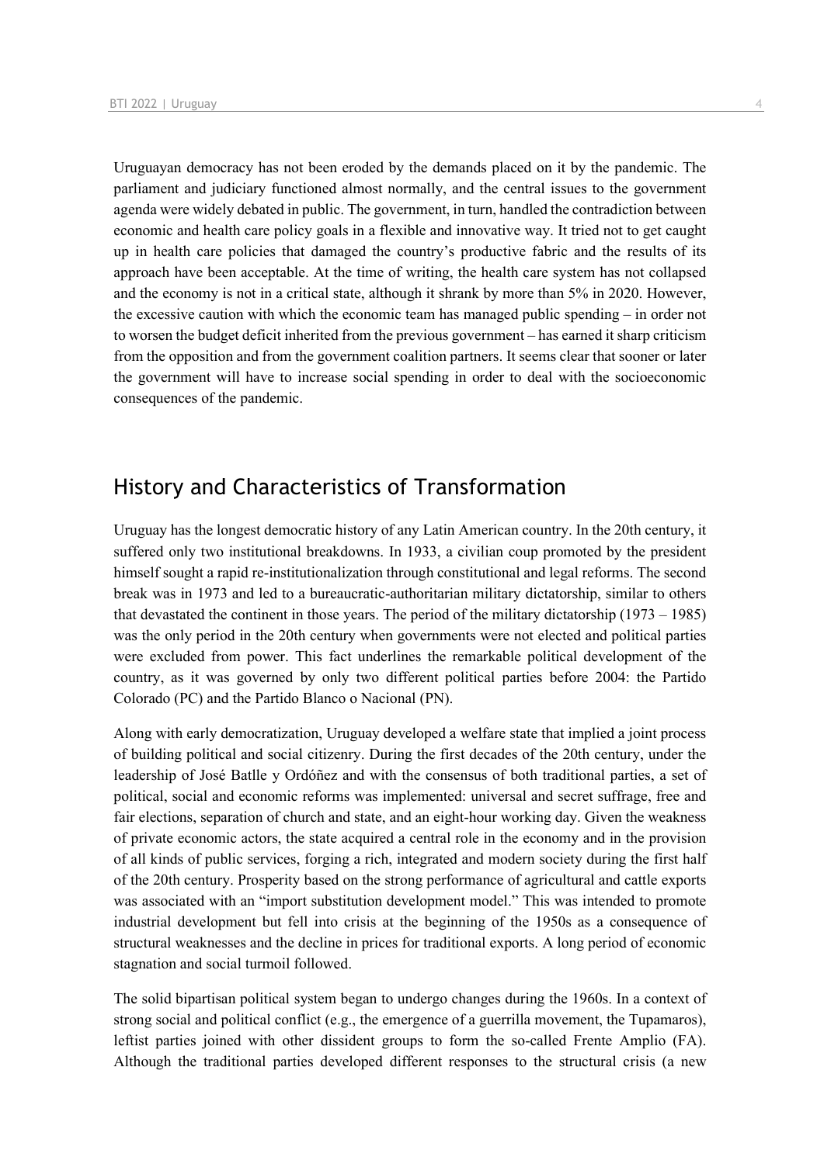Uruguayan democracy has not been eroded by the demands placed on it by the pandemic. The parliament and judiciary functioned almost normally, and the central issues to the government agenda were widely debated in public. The government, in turn, handled the contradiction between economic and health care policy goals in a flexible and innovative way. It tried not to get caught up in health care policies that damaged the country's productive fabric and the results of its approach have been acceptable. At the time of writing, the health care system has not collapsed and the economy is not in a critical state, although it shrank by more than 5% in 2020. However, the excessive caution with which the economic team has managed public spending – in order not to worsen the budget deficit inherited from the previous government – has earned it sharp criticism from the opposition and from the government coalition partners. It seems clear that sooner or later the government will have to increase social spending in order to deal with the socioeconomic consequences of the pandemic.

# History and Characteristics of Transformation

Uruguay has the longest democratic history of any Latin American country. In the 20th century, it suffered only two institutional breakdowns. In 1933, a civilian coup promoted by the president himself sought a rapid re-institutionalization through constitutional and legal reforms. The second break was in 1973 and led to a bureaucratic-authoritarian military dictatorship, similar to others that devastated the continent in those years. The period of the military dictatorship (1973 – 1985) was the only period in the 20th century when governments were not elected and political parties were excluded from power. This fact underlines the remarkable political development of the country, as it was governed by only two different political parties before 2004: the Partido Colorado (PC) and the Partido Blanco o Nacional (PN).

Along with early democratization, Uruguay developed a welfare state that implied a joint process of building political and social citizenry. During the first decades of the 20th century, under the leadership of José Batlle y Ordóñez and with the consensus of both traditional parties, a set of political, social and economic reforms was implemented: universal and secret suffrage, free and fair elections, separation of church and state, and an eight-hour working day. Given the weakness of private economic actors, the state acquired a central role in the economy and in the provision of all kinds of public services, forging a rich, integrated and modern society during the first half of the 20th century. Prosperity based on the strong performance of agricultural and cattle exports was associated with an "import substitution development model." This was intended to promote industrial development but fell into crisis at the beginning of the 1950s as a consequence of structural weaknesses and the decline in prices for traditional exports. A long period of economic stagnation and social turmoil followed.

The solid bipartisan political system began to undergo changes during the 1960s. In a context of strong social and political conflict (e.g., the emergence of a guerrilla movement, the Tupamaros), leftist parties joined with other dissident groups to form the so-called Frente Amplio (FA). Although the traditional parties developed different responses to the structural crisis (a new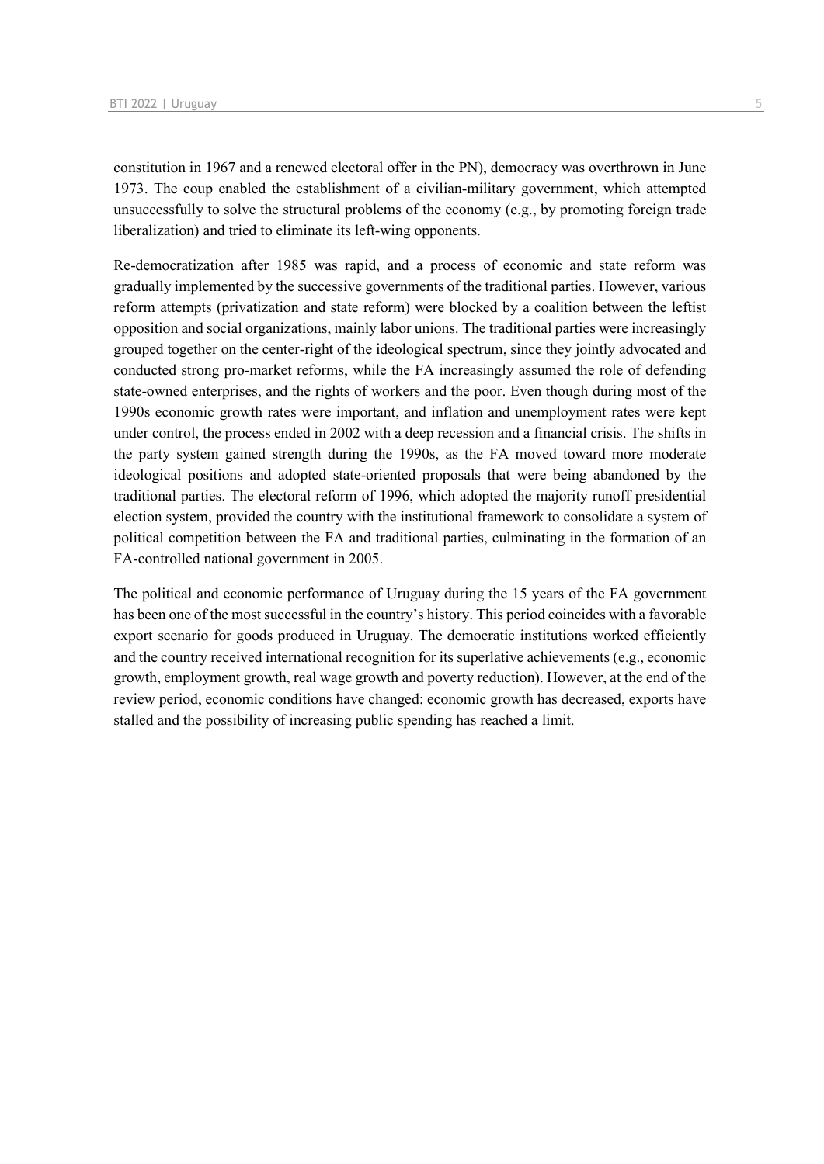constitution in 1967 and a renewed electoral offer in the PN), democracy was overthrown in June 1973. The coup enabled the establishment of a civilian-military government, which attempted unsuccessfully to solve the structural problems of the economy (e.g., by promoting foreign trade liberalization) and tried to eliminate its left-wing opponents.

Re-democratization after 1985 was rapid, and a process of economic and state reform was gradually implemented by the successive governments of the traditional parties. However, various reform attempts (privatization and state reform) were blocked by a coalition between the leftist opposition and social organizations, mainly labor unions. The traditional parties were increasingly grouped together on the center-right of the ideological spectrum, since they jointly advocated and conducted strong pro-market reforms, while the FA increasingly assumed the role of defending state-owned enterprises, and the rights of workers and the poor. Even though during most of the 1990s economic growth rates were important, and inflation and unemployment rates were kept under control, the process ended in 2002 with a deep recession and a financial crisis. The shifts in the party system gained strength during the 1990s, as the FA moved toward more moderate ideological positions and adopted state-oriented proposals that were being abandoned by the traditional parties. The electoral reform of 1996, which adopted the majority runoff presidential election system, provided the country with the institutional framework to consolidate a system of political competition between the FA and traditional parties, culminating in the formation of an FA-controlled national government in 2005.

The political and economic performance of Uruguay during the 15 years of the FA government has been one of the most successful in the country's history. This period coincides with a favorable export scenario for goods produced in Uruguay. The democratic institutions worked efficiently and the country received international recognition for its superlative achievements (e.g., economic growth, employment growth, real wage growth and poverty reduction). However, at the end of the review period, economic conditions have changed: economic growth has decreased, exports have stalled and the possibility of increasing public spending has reached a limit.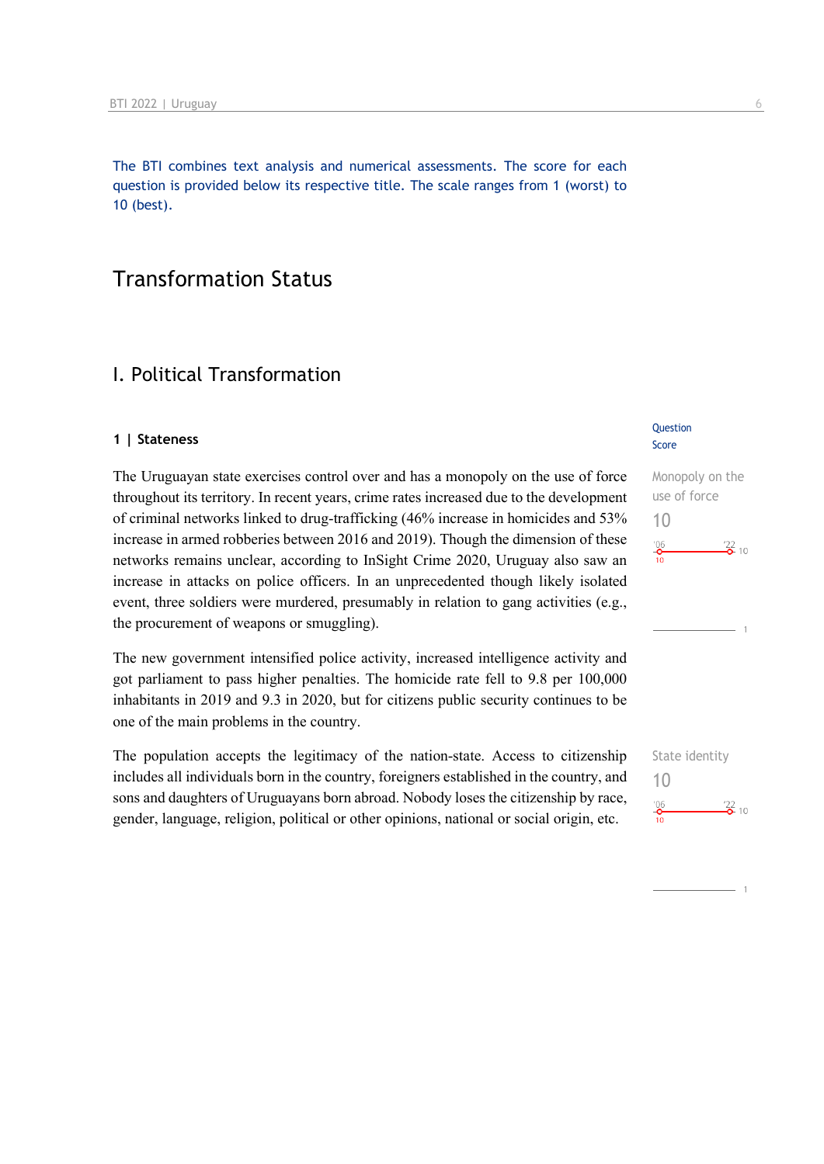The BTI combines text analysis and numerical assessments. The score for each question is provided below its respective title. The scale ranges from 1 (worst) to 10 (best).

# Transformation Status

# I. Political Transformation

### **1 | Stateness**

The Uruguayan state exercises control over and has a monopoly on the use of force throughout its territory. In recent years, crime rates increased due to the development of criminal networks linked to drug-trafficking (46% increase in homicides and 53% increase in armed robberies between 2016 and 2019). Though the dimension of these networks remains unclear, according to InSight Crime 2020, Uruguay also saw an increase in attacks on police officers. In an unprecedented though likely isolated event, three soldiers were murdered, presumably in relation to gang activities (e.g., the procurement of weapons or smuggling).

The new government intensified police activity, increased intelligence activity and got parliament to pass higher penalties. The homicide rate fell to 9.8 per 100,000 inhabitants in 2019 and 9.3 in 2020, but for citizens public security continues to be one of the main problems in the country.

The population accepts the legitimacy of the nation-state. Access to citizenship includes all individuals born in the country, foreigners established in the country, and sons and daughters of Uruguayans born abroad. Nobody loses the citizenship by race, gender, language, religion, political or other opinions, national or social origin, etc.

### **Question** Score

Monopoly on the use of force 10  $^{'}06$  $\frac{22}{2}$  10

State identity 10 $\frac{106}{2}$  $\frac{122}{2}$  10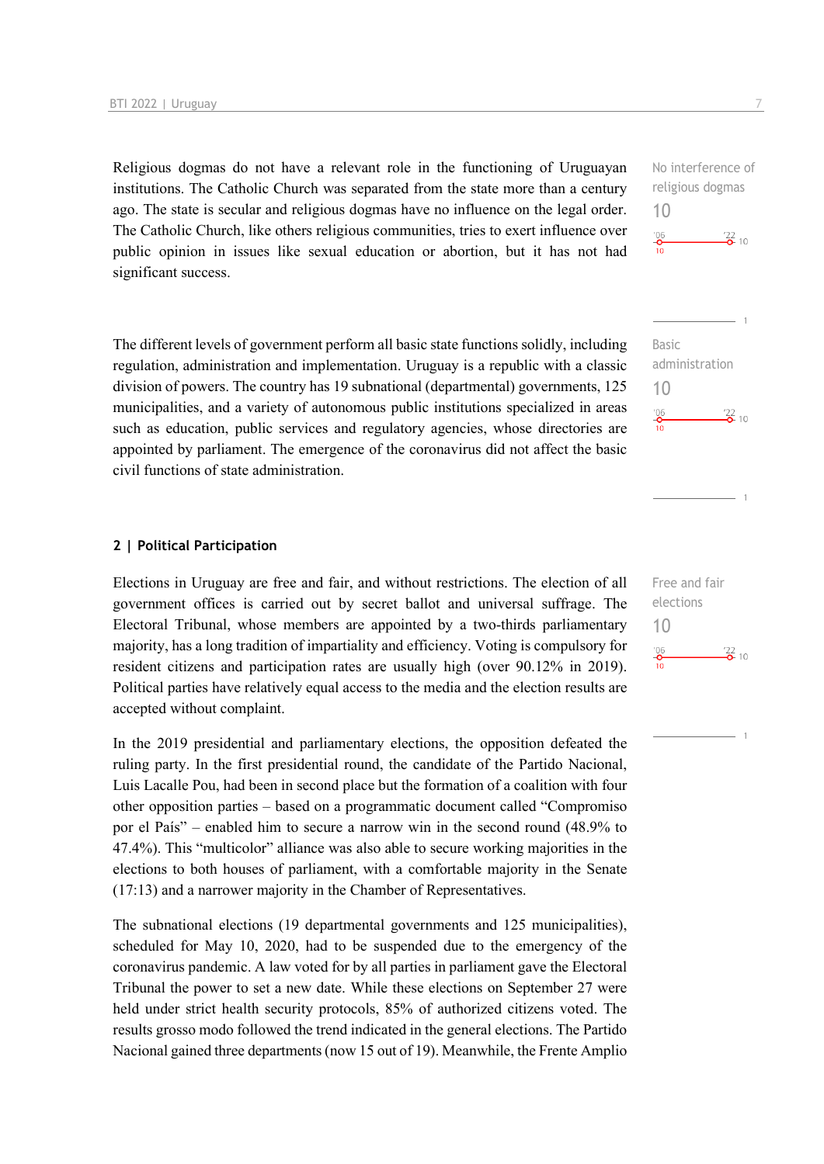Religious dogmas do not have a relevant role in the functioning of Uruguayan institutions. The Catholic Church was separated from the state more than a century ago. The state is secular and religious dogmas have no influence on the legal order. The Catholic Church, like others religious communities, tries to exert influence over public opinion in issues like sexual education or abortion, but it has not had significant success.

The different levels of government perform all basic state functions solidly, including regulation, administration and implementation. Uruguay is a republic with a classic division of powers. The country has 19 subnational (departmental) governments, 125 municipalities, and a variety of autonomous public institutions specialized in areas such as education, public services and regulatory agencies, whose directories are appointed by parliament. The emergence of the coronavirus did not affect the basic civil functions of state administration.

### **2 | Political Participation**

Elections in Uruguay are free and fair, and without restrictions. The election of all government offices is carried out by secret ballot and universal suffrage. The Electoral Tribunal, whose members are appointed by a two-thirds parliamentary majority, has a long tradition of impartiality and efficiency. Voting is compulsory for resident citizens and participation rates are usually high (over 90.12% in 2019). Political parties have relatively equal access to the media and the election results are accepted without complaint.

In the 2019 presidential and parliamentary elections, the opposition defeated the ruling party. In the first presidential round, the candidate of the Partido Nacional, Luis Lacalle Pou, had been in second place but the formation of a coalition with four other opposition parties – based on a programmatic document called "Compromiso por el País" – enabled him to secure a narrow win in the second round (48.9% to 47.4%). This "multicolor" alliance was also able to secure working majorities in the elections to both houses of parliament, with a comfortable majority in the Senate (17:13) and a narrower majority in the Chamber of Representatives.

The subnational elections (19 departmental governments and 125 municipalities), scheduled for May 10, 2020, had to be suspended due to the emergency of the coronavirus pandemic. A law voted for by all parties in parliament gave the Electoral Tribunal the power to set a new date. While these elections on September 27 were held under strict health security protocols, 85% of authorized citizens voted. The results grosso modo followed the trend indicated in the general elections. The Partido Nacional gained three departments (now 15 out of 19). Meanwhile, the Frente Amplio No interference of religious dogmas  $\frac{22}{2}$  10

10

 $rac{106}{10}$ 



Free and fair elections 10 $\frac{106}{2}$  $\frac{22}{2}$  10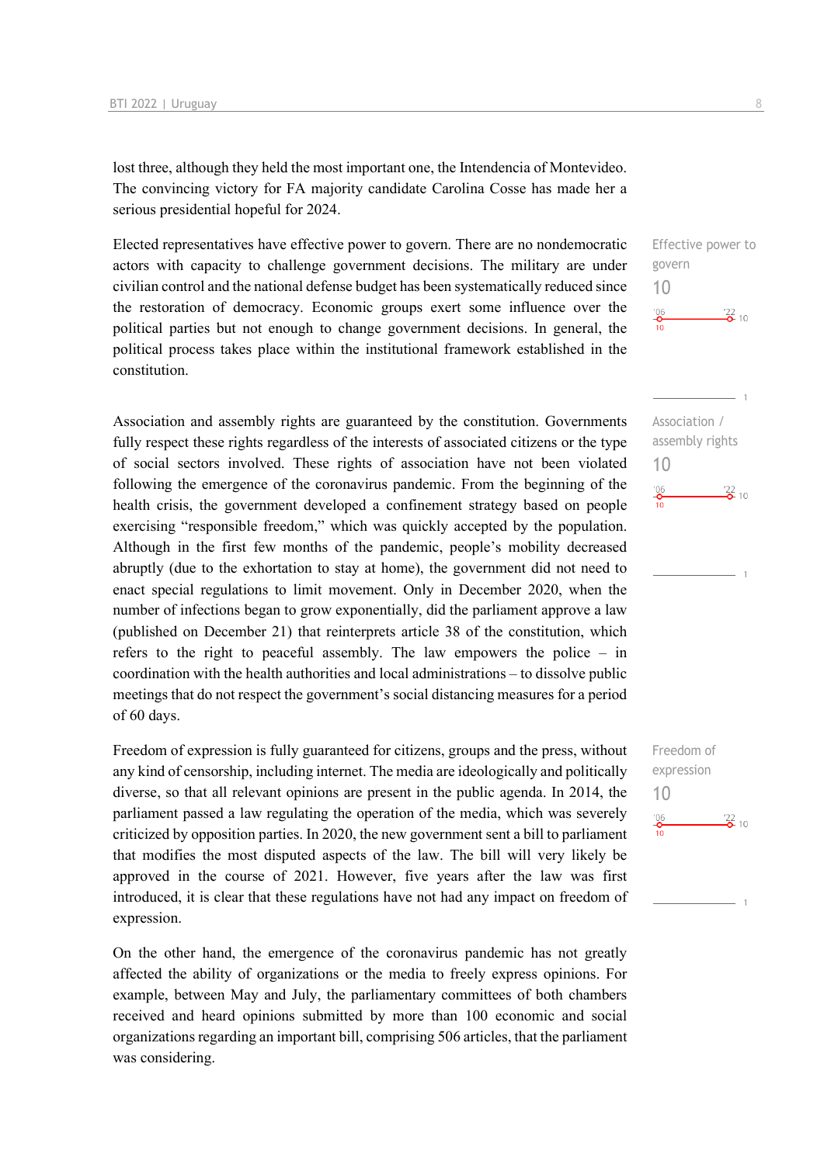lost three, although they held the most important one, the Intendencia of Montevideo. The convincing victory for FA majority candidate Carolina Cosse has made her a serious presidential hopeful for 2024.

Elected representatives have effective power to govern. There are no nondemocratic actors with capacity to challenge government decisions. The military are under civilian control and the national defense budget has been systematically reduced since the restoration of democracy. Economic groups exert some influence over the political parties but not enough to change government decisions. In general, the political process takes place within the institutional framework established in the constitution.

Association and assembly rights are guaranteed by the constitution. Governments fully respect these rights regardless of the interests of associated citizens or the type of social sectors involved. These rights of association have not been violated following the emergence of the coronavirus pandemic. From the beginning of the health crisis, the government developed a confinement strategy based on people exercising "responsible freedom," which was quickly accepted by the population. Although in the first few months of the pandemic, people's mobility decreased abruptly (due to the exhortation to stay at home), the government did not need to enact special regulations to limit movement. Only in December 2020, when the number of infections began to grow exponentially, did the parliament approve a law (published on December 21) that reinterprets article 38 of the constitution, which refers to the right to peaceful assembly. The law empowers the police – in coordination with the health authorities and local administrations – to dissolve public meetings that do not respect the government's social distancing measures for a period of 60 days.

Freedom of expression is fully guaranteed for citizens, groups and the press, without any kind of censorship, including internet. The media are ideologically and politically diverse, so that all relevant opinions are present in the public agenda. In 2014, the parliament passed a law regulating the operation of the media, which was severely criticized by opposition parties. In 2020, the new government sent a bill to parliament that modifies the most disputed aspects of the law. The bill will very likely be approved in the course of 2021. However, five years after the law was first introduced, it is clear that these regulations have not had any impact on freedom of expression.

On the other hand, the emergence of the coronavirus pandemic has not greatly affected the ability of organizations or the media to freely express opinions. For example, between May and July, the parliamentary committees of both chambers received and heard opinions submitted by more than 100 economic and social organizations regarding an important bill, comprising 506 articles, that the parliament was considering.

Effective power to govern 10  $^{106}_{-0}$  $\frac{22}{2}$  10



Freedom of expression 10 $^{206}_{-0}$  $\frac{22}{2}$  10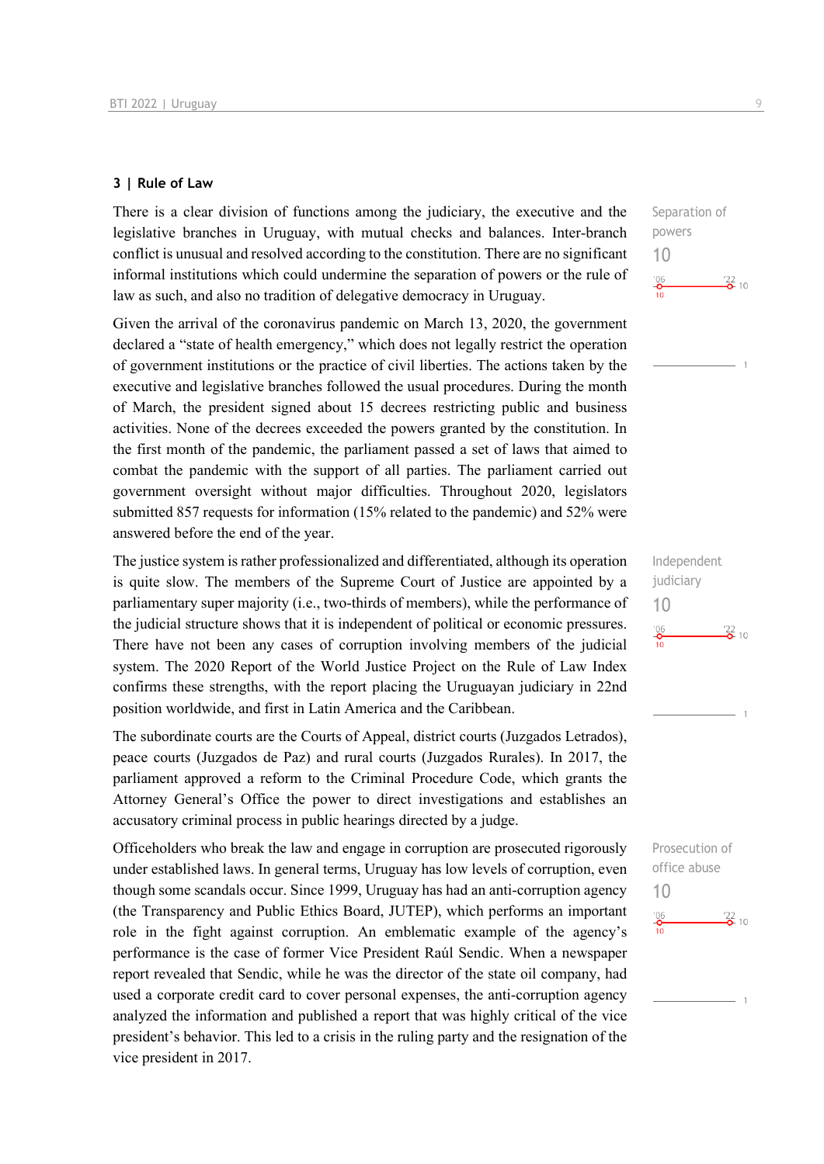### **3 | Rule of Law**

There is a clear division of functions among the judiciary, the executive and the legislative branches in Uruguay, with mutual checks and balances. Inter-branch conflict is unusual and resolved according to the constitution. There are no significant informal institutions which could undermine the separation of powers or the rule of law as such, and also no tradition of delegative democracy in Uruguay.

Given the arrival of the coronavirus pandemic on March 13, 2020, the government declared a "state of health emergency," which does not legally restrict the operation of government institutions or the practice of civil liberties. The actions taken by the executive and legislative branches followed the usual procedures. During the month of March, the president signed about 15 decrees restricting public and business activities. None of the decrees exceeded the powers granted by the constitution. In the first month of the pandemic, the parliament passed a set of laws that aimed to combat the pandemic with the support of all parties. The parliament carried out government oversight without major difficulties. Throughout 2020, legislators submitted 857 requests for information (15% related to the pandemic) and 52% were answered before the end of the year.

The justice system is rather professionalized and differentiated, although its operation is quite slow. The members of the Supreme Court of Justice are appointed by a parliamentary super majority (i.e., two-thirds of members), while the performance of the judicial structure shows that it is independent of political or economic pressures. There have not been any cases of corruption involving members of the judicial system. The 2020 Report of the World Justice Project on the Rule of Law Index confirms these strengths, with the report placing the Uruguayan judiciary in 22nd position worldwide, and first in Latin America and the Caribbean.

The subordinate courts are the Courts of Appeal, district courts (Juzgados Letrados), peace courts (Juzgados de Paz) and rural courts (Juzgados Rurales). In 2017, the parliament approved a reform to the Criminal Procedure Code, which grants the Attorney General's Office the power to direct investigations and establishes an accusatory criminal process in public hearings directed by a judge.

Officeholders who break the law and engage in corruption are prosecuted rigorously under established laws. In general terms, Uruguay has low levels of corruption, even though some scandals occur. Since 1999, Uruguay has had an anti-corruption agency (the Transparency and Public Ethics Board, JUTEP), which performs an important role in the fight against corruption. An emblematic example of the agency's performance is the case of former Vice President Raúl Sendic. When a newspaper report revealed that Sendic, while he was the director of the state oil company, had used a corporate credit card to cover personal expenses, the anti-corruption agency analyzed the information and published a report that was highly critical of the vice president's behavior. This led to a crisis in the ruling party and the resignation of the vice president in 2017.

Separation of powers 10  $\frac{106}{2}$  $\frac{22}{2}$  10

Independent judiciary 10  $\frac{106}{10}$  $\frac{22}{2}$  10

Prosecution of office abuse 10 $\frac{106}{10}$  $\frac{22}{2}$  10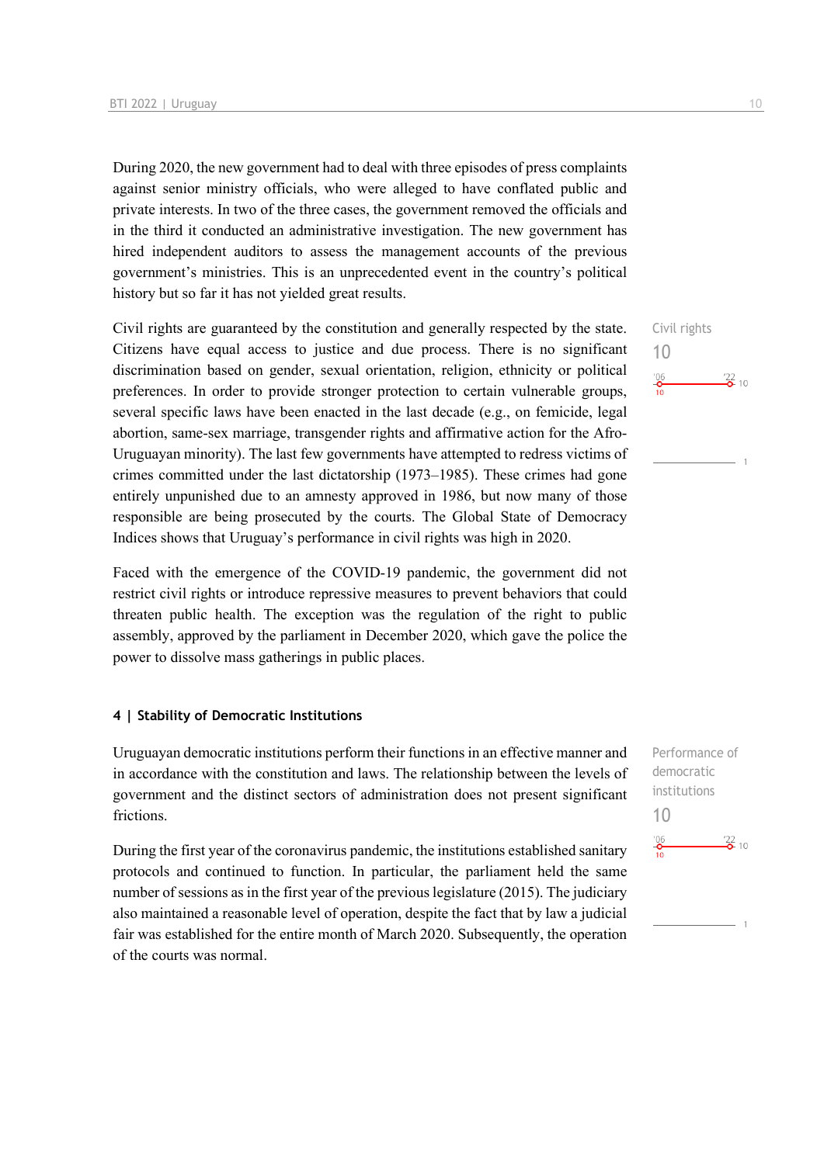During 2020, the new government had to deal with three episodes of press complaints against senior ministry officials, who were alleged to have conflated public and private interests. In two of the three cases, the government removed the officials and in the third it conducted an administrative investigation. The new government has hired independent auditors to assess the management accounts of the previous government's ministries. This is an unprecedented event in the country's political history but so far it has not yielded great results.

Civil rights are guaranteed by the constitution and generally respected by the state. Citizens have equal access to justice and due process. There is no significant discrimination based on gender, sexual orientation, religion, ethnicity or political preferences. In order to provide stronger protection to certain vulnerable groups, several specific laws have been enacted in the last decade (e.g., on femicide, legal abortion, same-sex marriage, transgender rights and affirmative action for the Afro-Uruguayan minority). The last few governments have attempted to redress victims of crimes committed under the last dictatorship (1973–1985). These crimes had gone entirely unpunished due to an amnesty approved in 1986, but now many of those responsible are being prosecuted by the courts. The Global State of Democracy Indices shows that Uruguay's performance in civil rights was high in 2020.

Faced with the emergence of the COVID-19 pandemic, the government did not restrict civil rights or introduce repressive measures to prevent behaviors that could threaten public health. The exception was the regulation of the right to public assembly, approved by the parliament in December 2020, which gave the police the power to dissolve mass gatherings in public places.

### **4 | Stability of Democratic Institutions**

Uruguayan democratic institutions perform their functions in an effective manner and in accordance with the constitution and laws. The relationship between the levels of government and the distinct sectors of administration does not present significant frictions.

During the first year of the coronavirus pandemic, the institutions established sanitary protocols and continued to function. In particular, the parliament held the same number of sessions as in the first year of the previous legislature (2015). The judiciary also maintained a reasonable level of operation, despite the fact that by law a judicial fair was established for the entire month of March 2020. Subsequently, the operation of the courts was normal.

Civil rights 10  $\frac{106}{10}$  $\frac{22}{2}$  10

Performance of democratic institutions 10 $^{'}06$  $\frac{22}{2}$  10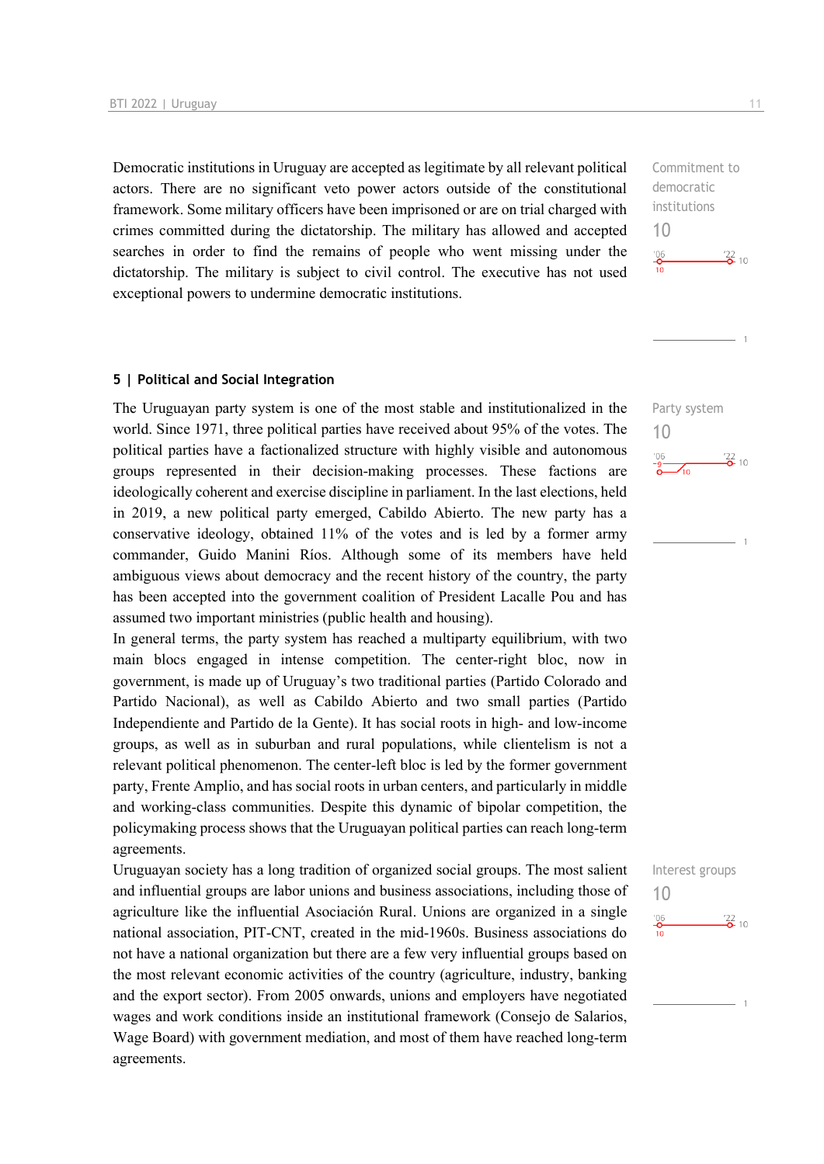Democratic institutions in Uruguay are accepted as legitimate by all relevant political actors. There are no significant veto power actors outside of the constitutional framework. Some military officers have been imprisoned or are on trial charged with crimes committed during the dictatorship. The military has allowed and accepted searches in order to find the remains of people who went missing under the dictatorship. The military is subject to civil control. The executive has not used exceptional powers to undermine democratic institutions.

#### **5 | Political and Social Integration**

The Uruguayan party system is one of the most stable and institutionalized in the world. Since 1971, three political parties have received about 95% of the votes. The political parties have a factionalized structure with highly visible and autonomous groups represented in their decision-making processes. These factions are ideologically coherent and exercise discipline in parliament. In the last elections, held in 2019, a new political party emerged, Cabildo Abierto. The new party has a conservative ideology, obtained 11% of the votes and is led by a former army commander, Guido Manini Ríos. Although some of its members have held ambiguous views about democracy and the recent history of the country, the party has been accepted into the government coalition of President Lacalle Pou and has assumed two important ministries (public health and housing).

In general terms, the party system has reached a multiparty equilibrium, with two main blocs engaged in intense competition. The center-right bloc, now in government, is made up of Uruguay's two traditional parties (Partido Colorado and Partido Nacional), as well as Cabildo Abierto and two small parties (Partido Independiente and Partido de la Gente). It has social roots in high- and low-income groups, as well as in suburban and rural populations, while clientelism is not a relevant political phenomenon. The center-left bloc is led by the former government party, Frente Amplio, and has social roots in urban centers, and particularly in middle and working-class communities. Despite this dynamic of bipolar competition, the policymaking process shows that the Uruguayan political parties can reach long-term agreements.

Uruguayan society has a long tradition of organized social groups. The most salient and influential groups are labor unions and business associations, including those of agriculture like the influential Asociación Rural. Unions are organized in a single national association, PIT-CNT, created in the mid-1960s. Business associations do not have a national organization but there are a few very influential groups based on the most relevant economic activities of the country (agriculture, industry, banking and the export sector). From 2005 onwards, unions and employers have negotiated wages and work conditions inside an institutional framework (Consejo de Salarios, Wage Board) with government mediation, and most of them have reached long-term agreements.

Commitment to democratic institutions 10  $^{106}$  $\frac{22}{2}$  10

Party system

 $\sqrt{10}$ 

 $\frac{122}{2}$  10

10

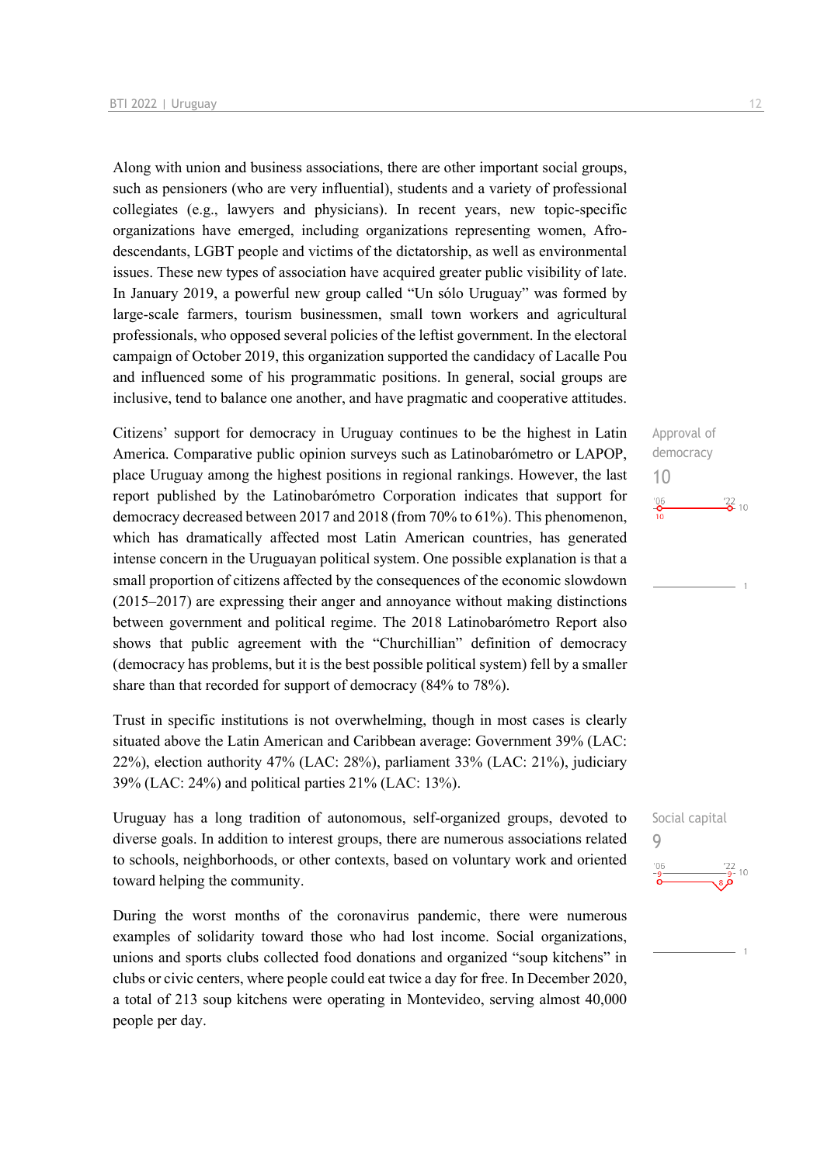Along with union and business associations, there are other important social groups, such as pensioners (who are very influential), students and a variety of professional collegiates (e.g., lawyers and physicians). In recent years, new topic-specific organizations have emerged, including organizations representing women, Afrodescendants, LGBT people and victims of the dictatorship, as well as environmental issues. These new types of association have acquired greater public visibility of late. In January 2019, a powerful new group called "Un sólo Uruguay" was formed by large-scale farmers, tourism businessmen, small town workers and agricultural professionals, who opposed several policies of the leftist government. In the electoral campaign of October 2019, this organization supported the candidacy of Lacalle Pou and influenced some of his programmatic positions. In general, social groups are inclusive, tend to balance one another, and have pragmatic and cooperative attitudes.

Citizens' support for democracy in Uruguay continues to be the highest in Latin America. Comparative public opinion surveys such as Latinobarómetro or LAPOP, place Uruguay among the highest positions in regional rankings. However, the last report published by the Latinobarómetro Corporation indicates that support for democracy decreased between 2017 and 2018 (from 70% to 61%). This phenomenon, which has dramatically affected most Latin American countries, has generated intense concern in the Uruguayan political system. One possible explanation is that a small proportion of citizens affected by the consequences of the economic slowdown (2015–2017) are expressing their anger and annoyance without making distinctions between government and political regime. The 2018 Latinobarómetro Report also shows that public agreement with the "Churchillian" definition of democracy (democracy has problems, but it is the best possible political system) fell by a smaller share than that recorded for support of democracy (84% to 78%).

Trust in specific institutions is not overwhelming, though in most cases is clearly situated above the Latin American and Caribbean average: Government 39% (LAC: 22%), election authority 47% (LAC: 28%), parliament 33% (LAC: 21%), judiciary 39% (LAC: 24%) and political parties 21% (LAC: 13%).

Uruguay has a long tradition of autonomous, self-organized groups, devoted to diverse goals. In addition to interest groups, there are numerous associations related to schools, neighborhoods, or other contexts, based on voluntary work and oriented toward helping the community.

During the worst months of the coronavirus pandemic, there were numerous examples of solidarity toward those who had lost income. Social organizations, unions and sports clubs collected food donations and organized "soup kitchens" in clubs or civic centers, where people could eat twice a day for free. In December 2020, a total of 213 soup kitchens were operating in Montevideo, serving almost 40,000 people per day.



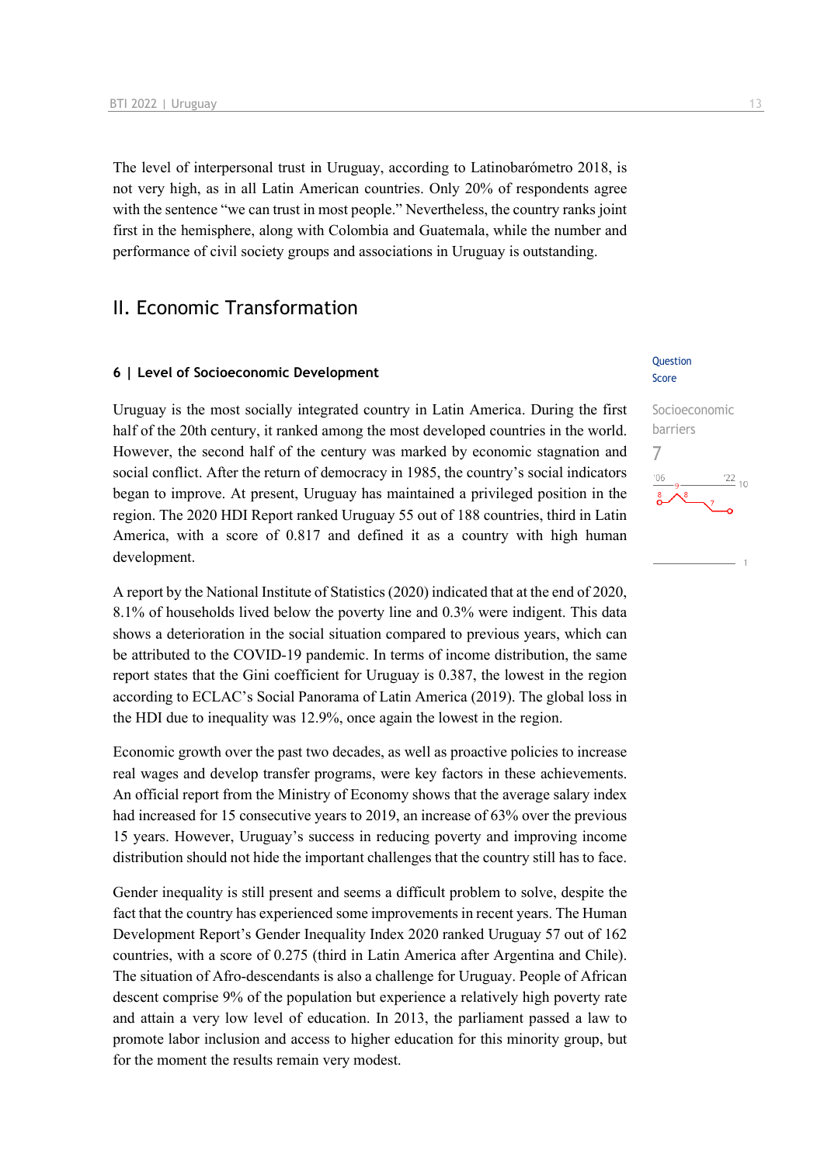The level of interpersonal trust in Uruguay, according to Latinobarómetro 2018, is not very high, as in all Latin American countries. Only 20% of respondents agree with the sentence "we can trust in most people." Nevertheless, the country ranks joint first in the hemisphere, along with Colombia and Guatemala, while the number and performance of civil society groups and associations in Uruguay is outstanding.

## II. Economic Transformation

### **6 | Level of Socioeconomic Development**

Uruguay is the most socially integrated country in Latin America. During the first half of the 20th century, it ranked among the most developed countries in the world. However, the second half of the century was marked by economic stagnation and social conflict. After the return of democracy in 1985, the country's social indicators began to improve. At present, Uruguay has maintained a privileged position in the region. The 2020 HDI Report ranked Uruguay 55 out of 188 countries, third in Latin America, with a score of 0.817 and defined it as a country with high human development.

A report by the National Institute of Statistics (2020) indicated that at the end of 2020, 8.1% of households lived below the poverty line and 0.3% were indigent. This data shows a deterioration in the social situation compared to previous years, which can be attributed to the COVID-19 pandemic. In terms of income distribution, the same report states that the Gini coefficient for Uruguay is 0.387, the lowest in the region according to ECLAC's Social Panorama of Latin America (2019). The global loss in the HDI due to inequality was 12.9%, once again the lowest in the region.

Economic growth over the past two decades, as well as proactive policies to increase real wages and develop transfer programs, were key factors in these achievements. An official report from the Ministry of Economy shows that the average salary index had increased for 15 consecutive years to 2019, an increase of 63% over the previous 15 years. However, Uruguay's success in reducing poverty and improving income distribution should not hide the important challenges that the country still has to face.

Gender inequality is still present and seems a difficult problem to solve, despite the fact that the country has experienced some improvements in recent years. The Human Development Report's Gender Inequality Index 2020 ranked Uruguay 57 out of 162 countries, with a score of 0.275 (third in Latin America after Argentina and Chile). The situation of Afro-descendants is also a challenge for Uruguay. People of African descent comprise 9% of the population but experience a relatively high poverty rate and attain a very low level of education. In 2013, the parliament passed a law to promote labor inclusion and access to higher education for this minority group, but for the moment the results remain very modest.

### Question Score

# Socioeconomic barriers 7 $\frac{22}{10}$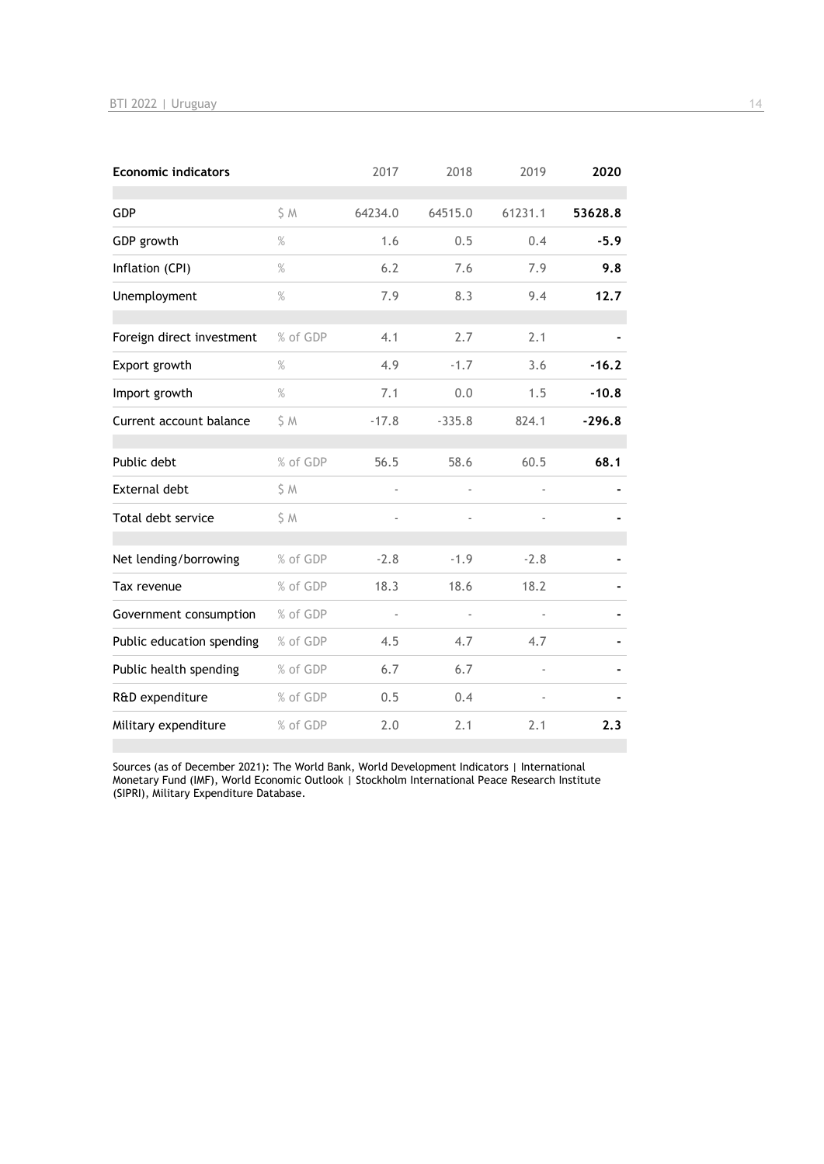| <b>Economic indicators</b> |          | 2017    | 2018     | 2019    | 2020     |
|----------------------------|----------|---------|----------|---------|----------|
| <b>GDP</b>                 | S M      | 64234.0 | 64515.0  | 61231.1 | 53628.8  |
| GDP growth                 | $\%$     | 1.6     | 0.5      | 0.4     | $-5.9$   |
| Inflation (CPI)            | $\%$     | 6.2     | 7.6      | 7.9     | 9.8      |
| Unemployment               | $\%$     | 7.9     | 8.3      | 9.4     | 12.7     |
| Foreign direct investment  | % of GDP | 4.1     | 2.7      | 2.1     |          |
| Export growth              | $\%$     | 4.9     | $-1.7$   | 3.6     | $-16.2$  |
| Import growth              | $\%$     | 7.1     | 0.0      | 1.5     | $-10.8$  |
| Current account balance    | \$ M     | $-17.8$ | $-335.8$ | 824.1   | $-296.8$ |
| Public debt                | % of GDP | 56.5    | 58.6     | 60.5    | 68.1     |
| <b>External debt</b>       | \$M      | ÷,      |          |         |          |
| Total debt service         | \$ M     | ÷,      |          |         |          |
| Net lending/borrowing      | % of GDP | $-2.8$  | $-1.9$   | $-2.8$  |          |
| Tax revenue                | % of GDP | 18.3    | 18.6     | 18.2    |          |
| Government consumption     | % of GDP |         |          |         |          |
| Public education spending  | % of GDP | 4.5     | 4.7      | 4.7     |          |
| Public health spending     | % of GDP | 6.7     | 6.7      |         |          |
| R&D expenditure            | % of GDP | 0.5     | 0.4      |         |          |
| Military expenditure       | % of GDP | 2.0     | 2.1      | 2.1     | 2.3      |

Sources (as of December 2021): The World Bank, World Development Indicators | International Monetary Fund (IMF), World Economic Outlook | Stockholm International Peace Research Institute (SIPRI), Military Expenditure Database.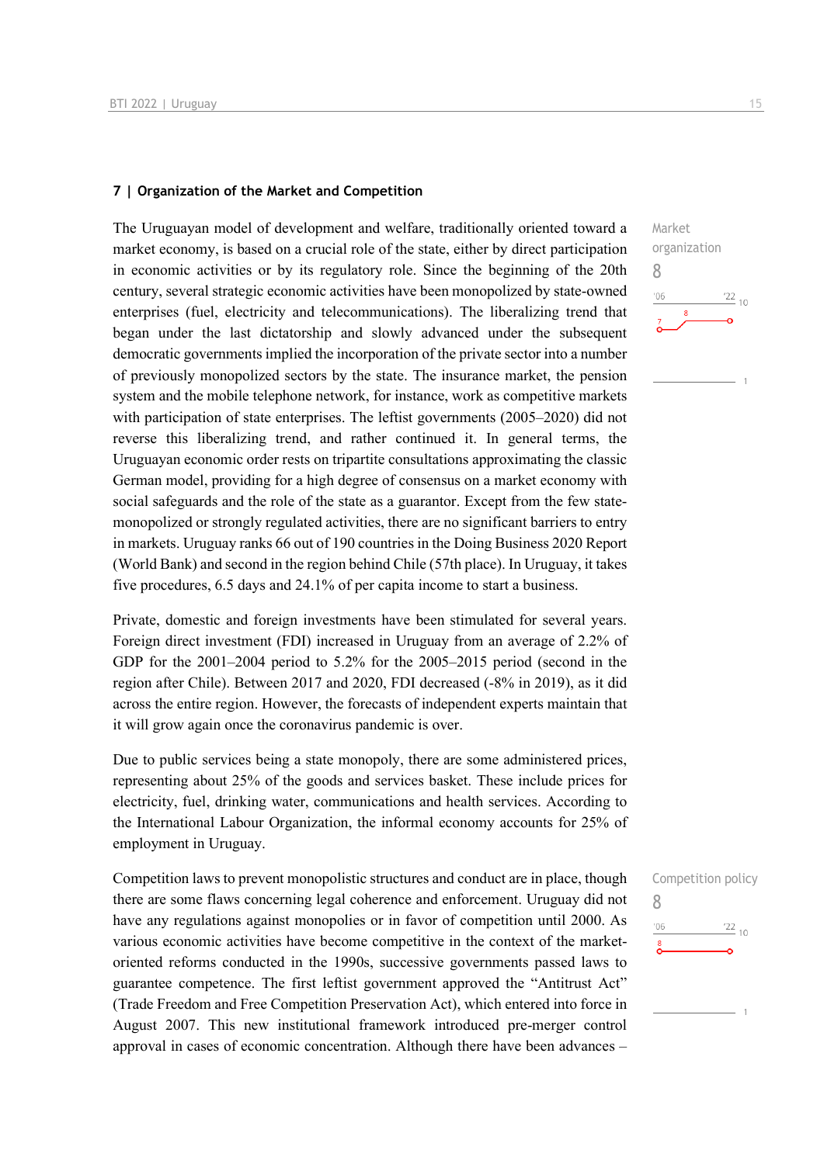### **7 | Organization of the Market and Competition**

The Uruguayan model of development and welfare, traditionally oriented toward a market economy, is based on a crucial role of the state, either by direct participation in economic activities or by its regulatory role. Since the beginning of the 20th century, several strategic economic activities have been monopolized by state-owned enterprises (fuel, electricity and telecommunications). The liberalizing trend that began under the last dictatorship and slowly advanced under the subsequent democratic governments implied the incorporation of the private sector into a number of previously monopolized sectors by the state. The insurance market, the pension system and the mobile telephone network, for instance, work as competitive markets with participation of state enterprises. The leftist governments (2005–2020) did not reverse this liberalizing trend, and rather continued it. In general terms, the Uruguayan economic order rests on tripartite consultations approximating the classic German model, providing for a high degree of consensus on a market economy with social safeguards and the role of the state as a guarantor. Except from the few statemonopolized or strongly regulated activities, there are no significant barriers to entry in markets. Uruguay ranks 66 out of 190 countries in the Doing Business 2020 Report (World Bank) and second in the region behind Chile (57th place). In Uruguay, it takes five procedures, 6.5 days and 24.1% of per capita income to start a business.

Private, domestic and foreign investments have been stimulated for several years. Foreign direct investment (FDI) increased in Uruguay from an average of 2.2% of GDP for the 2001–2004 period to 5.2% for the 2005–2015 period (second in the region after Chile). Between 2017 and 2020, FDI decreased (-8% in 2019), as it did across the entire region. However, the forecasts of independent experts maintain that it will grow again once the coronavirus pandemic is over.

Due to public services being a state monopoly, there are some administered prices, representing about 25% of the goods and services basket. These include prices for electricity, fuel, drinking water, communications and health services. According to the International Labour Organization, the informal economy accounts for 25% of employment in Uruguay.

Competition laws to prevent monopolistic structures and conduct are in place, though there are some flaws concerning legal coherence and enforcement. Uruguay did not have any regulations against monopolies or in favor of competition until 2000. As various economic activities have become competitive in the context of the marketoriented reforms conducted in the 1990s, successive governments passed laws to guarantee competence. The first leftist government approved the "Antitrust Act" (Trade Freedom and Free Competition Preservation Act), which entered into force in August 2007. This new institutional framework introduced pre-merger control approval in cases of economic concentration. Although there have been advances –

8

 $-06$ 

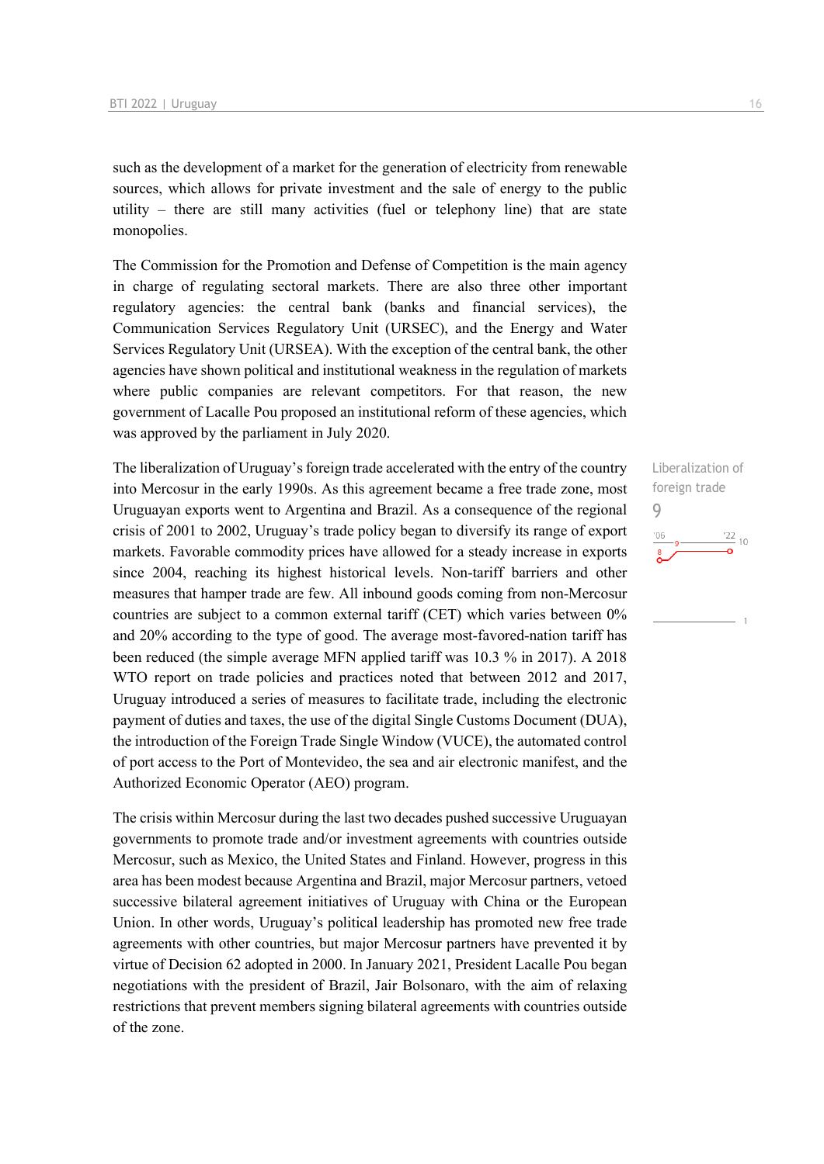such as the development of a market for the generation of electricity from renewable sources, which allows for private investment and the sale of energy to the public utility – there are still many activities (fuel or telephony line) that are state monopolies.

The Commission for the Promotion and Defense of Competition is the main agency in charge of regulating sectoral markets. There are also three other important regulatory agencies: the central bank (banks and financial services), the Communication Services Regulatory Unit (URSEC), and the Energy and Water Services Regulatory Unit (URSEA). With the exception of the central bank, the other agencies have shown political and institutional weakness in the regulation of markets where public companies are relevant competitors. For that reason, the new government of Lacalle Pou proposed an institutional reform of these agencies, which was approved by the parliament in July 2020.

The liberalization of Uruguay's foreign trade accelerated with the entry of the country into Mercosur in the early 1990s. As this agreement became a free trade zone, most Uruguayan exports went to Argentina and Brazil. As a consequence of the regional crisis of 2001 to 2002, Uruguay's trade policy began to diversify its range of export markets. Favorable commodity prices have allowed for a steady increase in exports since 2004, reaching its highest historical levels. Non-tariff barriers and other measures that hamper trade are few. All inbound goods coming from non-Mercosur countries are subject to a common external tariff (CET) which varies between 0% and 20% according to the type of good. The average most-favored-nation tariff has been reduced (the simple average MFN applied tariff was 10.3 % in 2017). A 2018 WTO report on trade policies and practices noted that between 2012 and 2017, Uruguay introduced a series of measures to facilitate trade, including the electronic payment of duties and taxes, the use of the digital Single Customs Document (DUA), the introduction of the Foreign Trade Single Window (VUCE), the automated control of port access to the Port of Montevideo, the sea and air electronic manifest, and the Authorized Economic Operator (AEO) program.

The crisis within Mercosur during the last two decades pushed successive Uruguayan governments to promote trade and/or investment agreements with countries outside Mercosur, such as Mexico, the United States and Finland. However, progress in this area has been modest because Argentina and Brazil, major Mercosur partners, vetoed successive bilateral agreement initiatives of Uruguay with China or the European Union. In other words, Uruguay's political leadership has promoted new free trade agreements with other countries, but major Mercosur partners have prevented it by virtue of Decision 62 adopted in 2000. In January 2021, President Lacalle Pou began negotiations with the president of Brazil, Jair Bolsonaro, with the aim of relaxing restrictions that prevent members signing bilateral agreements with countries outside of the zone.

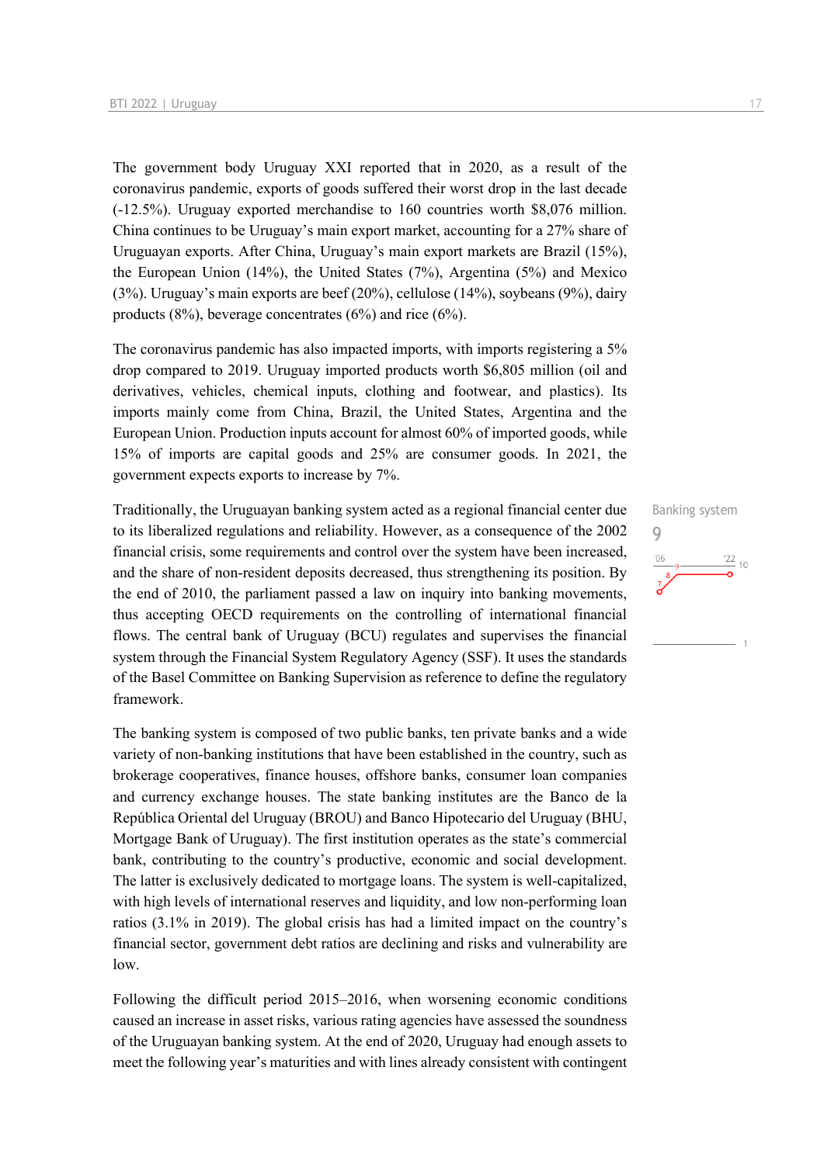The government body Uruguay XXI reported that in 2020, as a result of the coronavirus pandemic, exports of goods suffered their worst drop in the last decade (-12.5%). Uruguay exported merchandise to 160 countries worth \$8,076 million. China continues to be Uruguay's main export market, accounting for a 27% share of Uruguayan exports. After China, Uruguay's main export markets are Brazil (15%), the European Union (14%), the United States (7%), Argentina (5%) and Mexico (3%). Uruguay's main exports are beef (20%), cellulose (14%), soybeans (9%), dairy products  $(8\%)$ , beverage concentrates  $(6\%)$  and rice  $(6\%)$ .

The coronavirus pandemic has also impacted imports, with imports registering a 5% drop compared to 2019. Uruguay imported products worth \$6,805 million (oil and derivatives, vehicles, chemical inputs, clothing and footwear, and plastics). Its imports mainly come from China, Brazil, the United States, Argentina and the European Union. Production inputs account for almost 60% of imported goods, while 15% of imports are capital goods and 25% are consumer goods. In 2021, the government expects exports to increase by 7%.

Traditionally, the Uruguayan banking system acted as a regional financial center due to its liberalized regulations and reliability. However, as a consequence of the 2002 financial crisis, some requirements and control over the system have been increased, and the share of non-resident deposits decreased, thus strengthening its position. By the end of 2010, the parliament passed a law on inquiry into banking movements, thus accepting OECD requirements on the controlling of international financial flows. The central bank of Uruguay (BCU) regulates and supervises the financial system through the Financial System Regulatory Agency (SSF). It uses the standards of the Basel Committee on Banking Supervision as reference to define the regulatory framework.

The banking system is composed of two public banks, ten private banks and a wide variety of non‐banking institutions that have been established in the country, such as brokerage cooperatives, finance houses, offshore banks, consumer loan companies and currency exchange houses. The state banking institutes are the Banco de la República Oriental del Uruguay (BROU) and Banco Hipotecario del Uruguay (BHU, Mortgage Bank of Uruguay). The first institution operates as the state's commercial bank, contributing to the country's productive, economic and social development. The latter is exclusively dedicated to mortgage loans. The system is well-capitalized, with high levels of international reserves and liquidity, and low non-performing loan ratios (3.1% in 2019). The global crisis has had a limited impact on the country's financial sector, government debt ratios are declining and risks and vulnerability are low.

Following the difficult period 2015–2016, when worsening economic conditions caused an increase in asset risks, various rating agencies have assessed the soundness of the Uruguayan banking system. At the end of 2020, Uruguay had enough assets to meet the following year's maturities and with lines already consistent with contingent

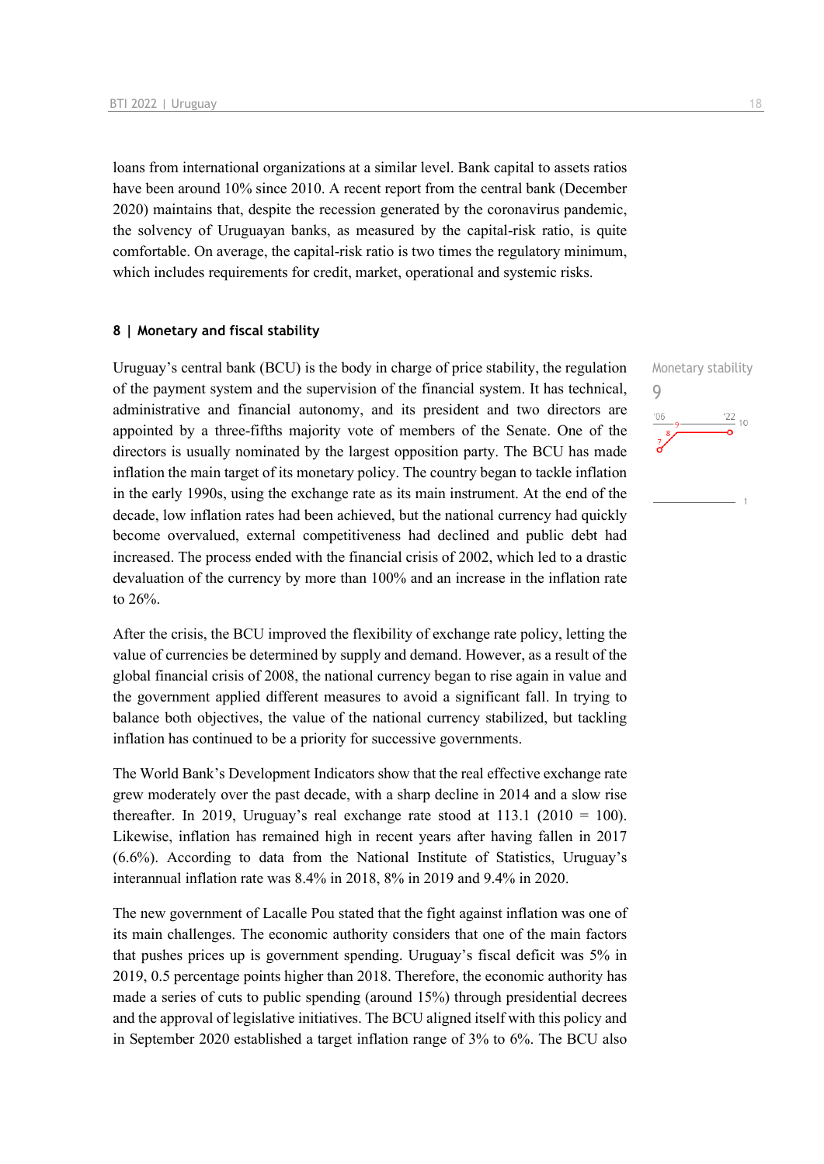loans from international organizations at a similar level. Bank capital to assets ratios have been around 10% since 2010. A recent report from the central bank (December 2020) maintains that, despite the recession generated by the coronavirus pandemic, the solvency of Uruguayan banks, as measured by the capital-risk ratio, is quite comfortable. On average, the capital-risk ratio is two times the regulatory minimum, which includes requirements for credit, market, operational and systemic risks.

### **8 | Monetary and fiscal stability**

Uruguay's central bank (BCU) is the body in charge of price stability, the regulation of the payment system and the supervision of the financial system. It has technical, administrative and financial autonomy, and its president and two directors are appointed by a three-fifths majority vote of members of the Senate. One of the directors is usually nominated by the largest opposition party. The BCU has made inflation the main target of its monetary policy. The country began to tackle inflation in the early 1990s, using the exchange rate as its main instrument. At the end of the decade, low inflation rates had been achieved, but the national currency had quickly become overvalued, external competitiveness had declined and public debt had increased. The process ended with the financial crisis of 2002, which led to a drastic devaluation of the currency by more than 100% and an increase in the inflation rate to 26%.

After the crisis, the BCU improved the flexibility of exchange rate policy, letting the value of currencies be determined by supply and demand. However, as a result of the global financial crisis of 2008, the national currency began to rise again in value and the government applied different measures to avoid a significant fall. In trying to balance both objectives, the value of the national currency stabilized, but tackling inflation has continued to be a priority for successive governments.

The World Bank's Development Indicators show that the real effective exchange rate grew moderately over the past decade, with a sharp decline in 2014 and a slow rise thereafter. In 2019, Uruguay's real exchange rate stood at  $113.1$  (2010 = 100). Likewise, inflation has remained high in recent years after having fallen in 2017 (6.6%). According to data from the National Institute of Statistics, Uruguay's interannual inflation rate was 8.4% in 2018, 8% in 2019 and 9.4% in 2020.

The new government of Lacalle Pou stated that the fight against inflation was one of its main challenges. The economic authority considers that one of the main factors that pushes prices up is government spending. Uruguay's fiscal deficit was 5% in 2019, 0.5 percentage points higher than 2018. Therefore, the economic authority has made a series of cuts to public spending (around 15%) through presidential decrees and the approval of legislative initiatives. The BCU aligned itself with this policy and in September 2020 established a target inflation range of 3% to 6%. The BCU also

9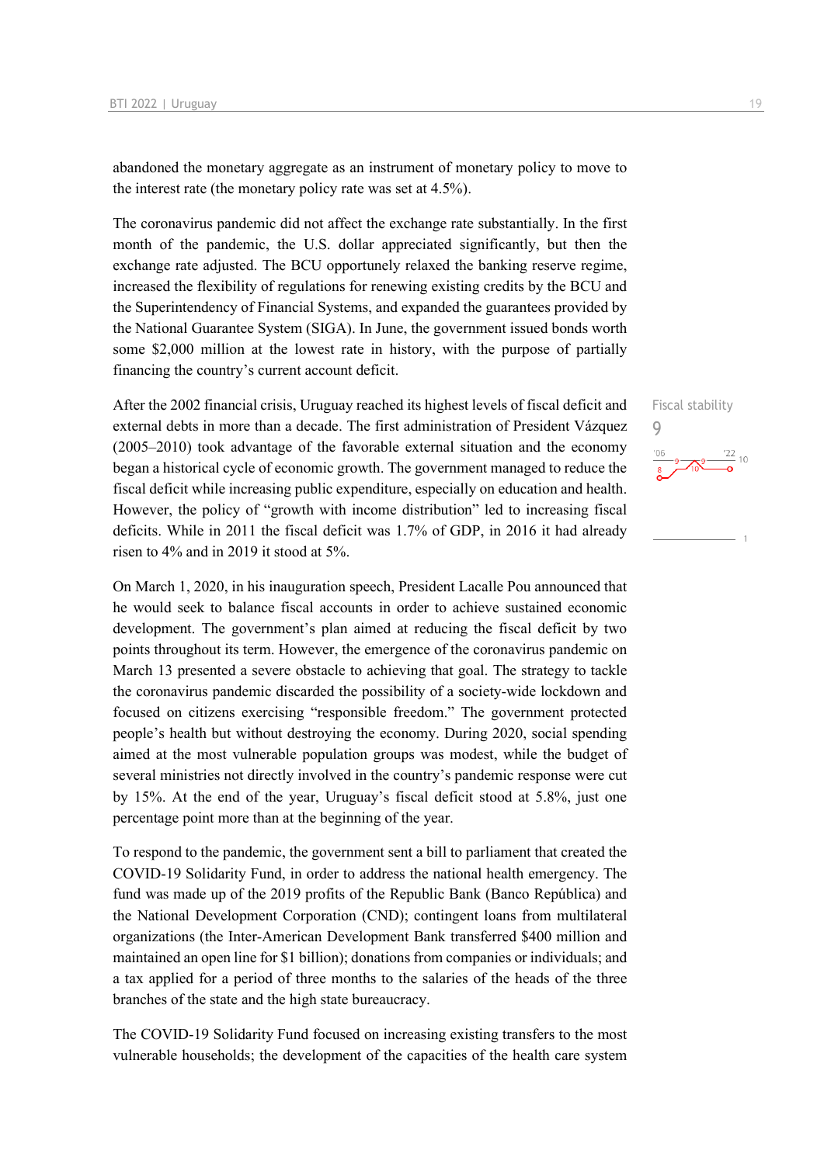abandoned the monetary aggregate as an instrument of monetary policy to move to the interest rate (the monetary policy rate was set at 4.5%).

The coronavirus pandemic did not affect the exchange rate substantially. In the first month of the pandemic, the U.S. dollar appreciated significantly, but then the exchange rate adjusted. The BCU opportunely relaxed the banking reserve regime, increased the flexibility of regulations for renewing existing credits by the BCU and the Superintendency of Financial Systems, and expanded the guarantees provided by the National Guarantee System (SIGA). In June, the government issued bonds worth some \$2,000 million at the lowest rate in history, with the purpose of partially financing the country's current account deficit.

After the 2002 financial crisis, Uruguay reached its highest levels of fiscal deficit and external debts in more than a decade. The first administration of President Vázquez (2005–2010) took advantage of the favorable external situation and the economy began a historical cycle of economic growth. The government managed to reduce the fiscal deficit while increasing public expenditure, especially on education and health. However, the policy of "growth with income distribution" led to increasing fiscal deficits. While in 2011 the fiscal deficit was 1.7% of GDP, in 2016 it had already risen to 4% and in 2019 it stood at 5%.

On March 1, 2020, in his inauguration speech, President Lacalle Pou announced that he would seek to balance fiscal accounts in order to achieve sustained economic development. The government's plan aimed at reducing the fiscal deficit by two points throughout its term. However, the emergence of the coronavirus pandemic on March 13 presented a severe obstacle to achieving that goal. The strategy to tackle the coronavirus pandemic discarded the possibility of a society-wide lockdown and focused on citizens exercising "responsible freedom." The government protected people's health but without destroying the economy. During 2020, social spending aimed at the most vulnerable population groups was modest, while the budget of several ministries not directly involved in the country's pandemic response were cut by 15%. At the end of the year, Uruguay's fiscal deficit stood at 5.8%, just one percentage point more than at the beginning of the year.

To respond to the pandemic, the government sent a bill to parliament that created the COVID-19 Solidarity Fund, in order to address the national health emergency. The fund was made up of the 2019 profits of the Republic Bank (Banco República) and the National Development Corporation (CND); contingent loans from multilateral organizations (the Inter-American Development Bank transferred \$400 million and maintained an open line for \$1 billion); donations from companies or individuals; and a tax applied for a period of three months to the salaries of the heads of the three branches of the state and the high state bureaucracy.

The COVID-19 Solidarity Fund focused on increasing existing transfers to the most vulnerable households; the development of the capacities of the health care system Fiscal stability 9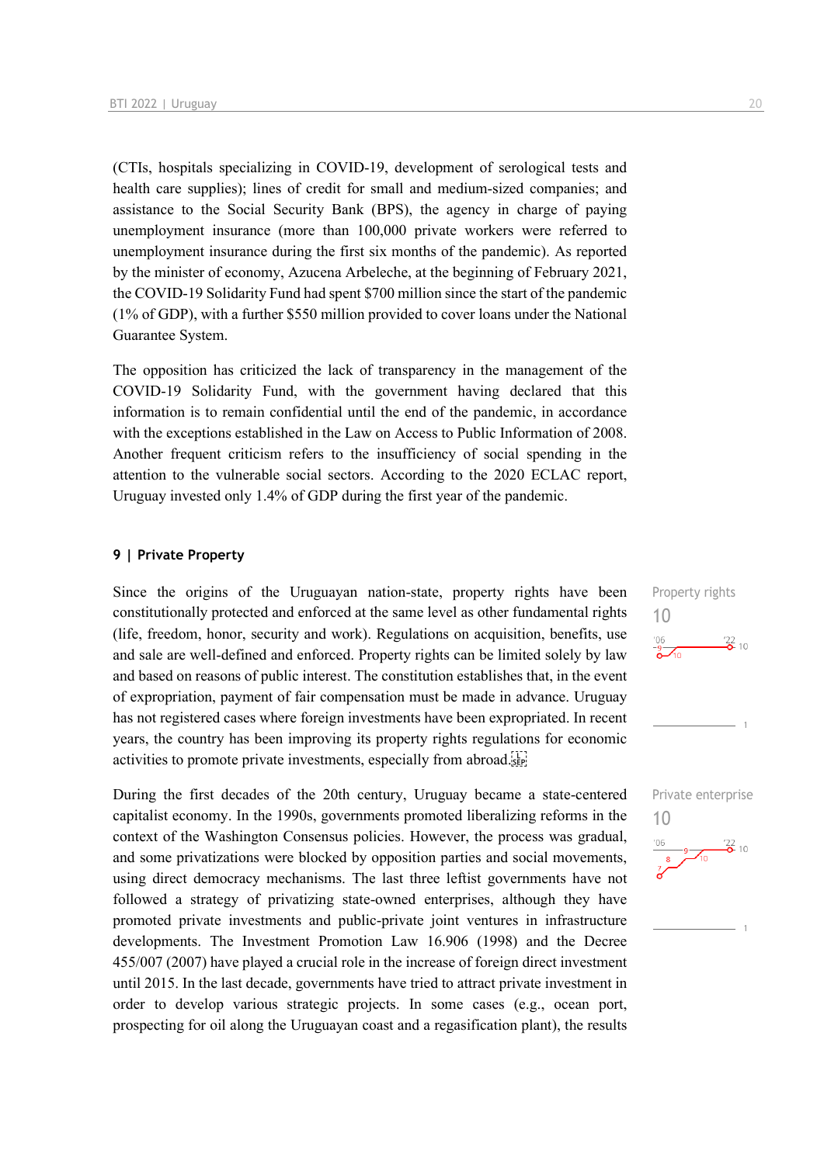(CTIs, hospitals specializing in COVID-19, development of serological tests and health care supplies); lines of credit for small and medium-sized companies; and assistance to the Social Security Bank (BPS), the agency in charge of paying unemployment insurance (more than 100,000 private workers were referred to unemployment insurance during the first six months of the pandemic). As reported by the minister of economy, Azucena Arbeleche, at the beginning of February 2021, the COVID-19 Solidarity Fund had spent \$700 million since the start of the pandemic (1% of GDP), with a further \$550 million provided to cover loans under the National Guarantee System.

The opposition has criticized the lack of transparency in the management of the COVID-19 Solidarity Fund, with the government having declared that this information is to remain confidential until the end of the pandemic, in accordance with the exceptions established in the Law on Access to Public Information of 2008. Another frequent criticism refers to the insufficiency of social spending in the attention to the vulnerable social sectors. According to the 2020 ECLAC report, Uruguay invested only 1.4% of GDP during the first year of the pandemic.

### **9 | Private Property**

Since the origins of the Uruguayan nation-state, property rights have been constitutionally protected and enforced at the same level as other fundamental rights (life, freedom, honor, security and work). Regulations on acquisition, benefits, use and sale are well-defined and enforced. Property rights can be limited solely by law and based on reasons of public interest. The constitution establishes that, in the event of expropriation, payment of fair compensation must be made in advance. Uruguay has not registered cases where foreign investments have been expropriated. In recent years, the country has been improving its property rights regulations for economic activities to promote private investments, especially from abroad.

During the first decades of the 20th century, Uruguay became a state-centered capitalist economy. In the 1990s, governments promoted liberalizing reforms in the context of the Washington Consensus policies. However, the process was gradual, and some privatizations were blocked by opposition parties and social movements, using direct democracy mechanisms. The last three leftist governments have not followed a strategy of privatizing state-owned enterprises, although they have promoted private investments and public-private joint ventures in infrastructure developments. The Investment Promotion Law 16.906 (1998) and the Decree 455/007 (2007) have played a crucial role in the increase of foreign direct investment until 2015. In the last decade, governments have tried to attract private investment in order to develop various strategic projects. In some cases (e.g., ocean port, prospecting for oil along the Uruguayan coast and a regasification plant), the results



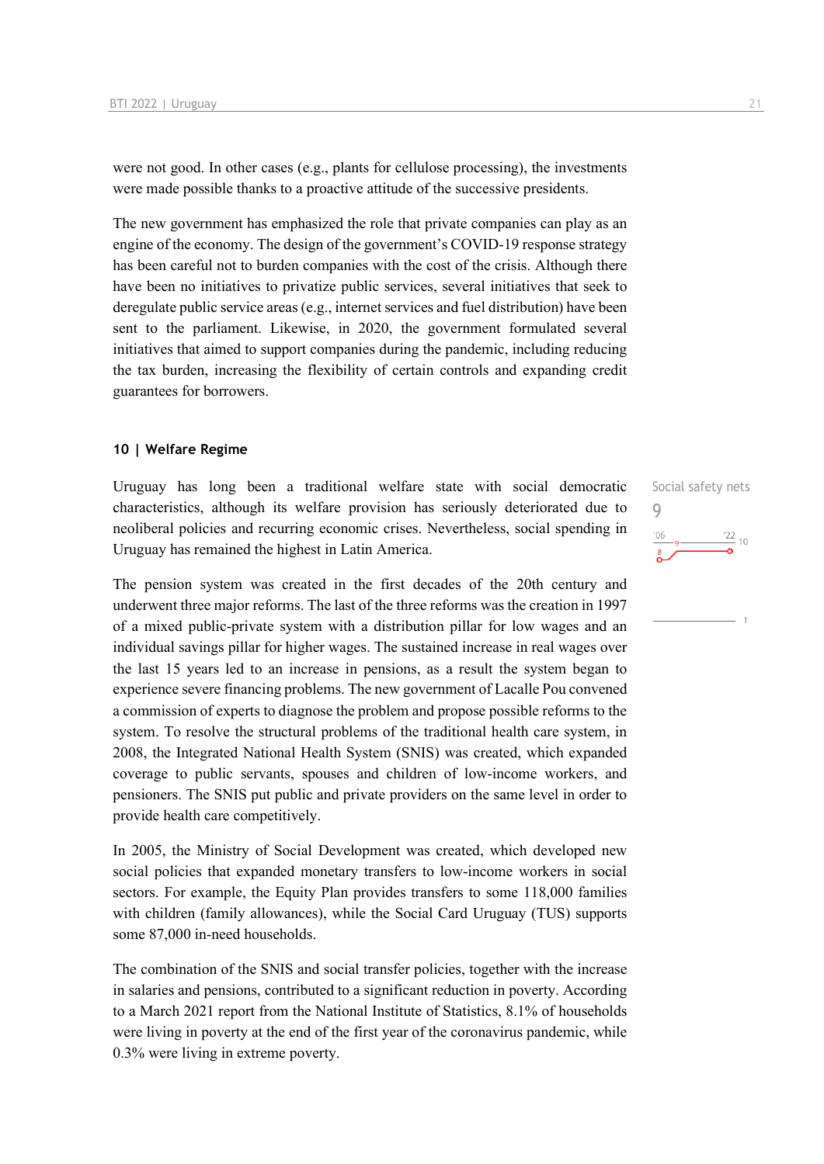were not good. In other cases (e.g., plants for cellulose processing), the investments were made possible thanks to a proactive attitude of the successive presidents.

The new government has emphasized the role that private companies can play as an engine of the economy. The design of the government's COVID-19 response strategy has been careful not to burden companies with the cost of the crisis. Although there have been no initiatives to privatize public services, several initiatives that seek to deregulate public service areas (e.g., internet services and fuel distribution) have been sent to the parliament. Likewise, in 2020, the government formulated several initiatives that aimed to support companies during the pandemic, including reducing the tax burden, increasing the flexibility of certain controls and expanding credit guarantees for borrowers.

### **10 | Welfare Regime**

Uruguay has long been a traditional welfare state with social democratic characteristics, although its welfare provision has seriously deteriorated due to neoliberal policies and recurring economic crises. Nevertheless, social spending in Uruguay has remained the highest in Latin America.

The pension system was created in the first decades of the 20th century and underwent three major reforms. The last of the three reforms was the creation in 1997 of a mixed public-private system with a distribution pillar for low wages and an individual savings pillar for higher wages. The sustained increase in real wages over the last 15 years led to an increase in pensions, as a result the system began to experience severe financing problems. The new government of Lacalle Pou convened a commission of experts to diagnose the problem and propose possible reforms to the system. To resolve the structural problems of the traditional health care system, in 2008, the Integrated National Health System (SNIS) was created, which expanded coverage to public servants, spouses and children of low-income workers, and pensioners. The SNIS put public and private providers on the same level in order to provide health care competitively.

In 2005, the Ministry of Social Development was created, which developed new social policies that expanded monetary transfers to low-income workers in social sectors. For example, the Equity Plan provides transfers to some 118,000 families with children (family allowances), while the Social Card Uruguay (TUS) supports some 87,000 in-need households.

The combination of the SNIS and social transfer policies, together with the increase in salaries and pensions, contributed to a significant reduction in poverty. According to a March 2021 report from the National Institute of Statistics, 8.1% of households were living in poverty at the end of the first year of the coronavirus pandemic, while 0.3% were living in extreme poverty.

Social safety nets 9 $\frac{22}{10}$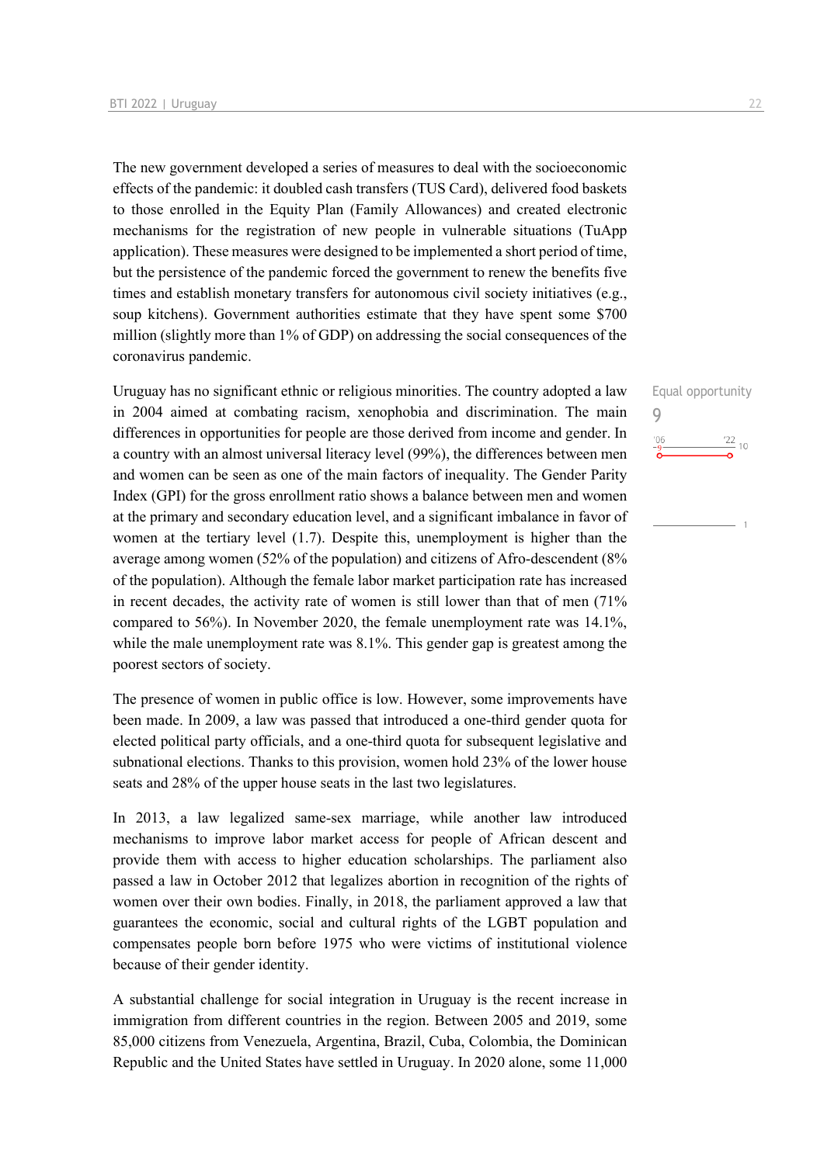The new government developed a series of measures to deal with the socioeconomic effects of the pandemic: it doubled cash transfers (TUS Card), delivered food baskets to those enrolled in the Equity Plan (Family Allowances) and created electronic mechanisms for the registration of new people in vulnerable situations (TuApp application). These measures were designed to be implemented a short period of time, but the persistence of the pandemic forced the government to renew the benefits five times and establish monetary transfers for autonomous civil society initiatives (e.g., soup kitchens). Government authorities estimate that they have spent some \$700 million (slightly more than 1% of GDP) on addressing the social consequences of the coronavirus pandemic.

Uruguay has no significant ethnic or religious minorities. The country adopted a law in 2004 aimed at combating racism, xenophobia and discrimination. The main differences in opportunities for people are those derived from income and gender. In a country with an almost universal literacy level (99%), the differences between men and women can be seen as one of the main factors of inequality. The Gender Parity Index (GPI) for the gross enrollment ratio shows a balance between men and women at the primary and secondary education level, and a significant imbalance in favor of women at the tertiary level (1.7). Despite this, unemployment is higher than the average among women (52% of the population) and citizens of Afro-descendent (8% of the population). Although the female labor market participation rate has increased in recent decades, the activity rate of women is still lower than that of men (71% compared to 56%). In November 2020, the female unemployment rate was 14.1%, while the male unemployment rate was 8.1%. This gender gap is greatest among the poorest sectors of society.

The presence of women in public office is low. However, some improvements have been made. In 2009, a law was passed that introduced a one-third gender quota for elected political party officials, and a one-third quota for subsequent legislative and subnational elections. Thanks to this provision, women hold 23% of the lower house seats and 28% of the upper house seats in the last two legislatures.

In 2013, a law legalized same-sex marriage, while another law introduced mechanisms to improve labor market access for people of African descent and provide them with access to higher education scholarships. The parliament also passed a law in October 2012 that legalizes abortion in recognition of the rights of women over their own bodies. Finally, in 2018, the parliament approved a law that guarantees the economic, social and cultural rights of the LGBT population and compensates people born before 1975 who were victims of institutional violence because of their gender identity.

A substantial challenge for social integration in Uruguay is the recent increase in immigration from different countries in the region. Between 2005 and 2019, some 85,000 citizens from Venezuela, Argentina, Brazil, Cuba, Colombia, the Dominican Republic and the United States have settled in Uruguay. In 2020 alone, some 11,000

Equal opportunity 9 $\frac{22}{2}$  10  $'06$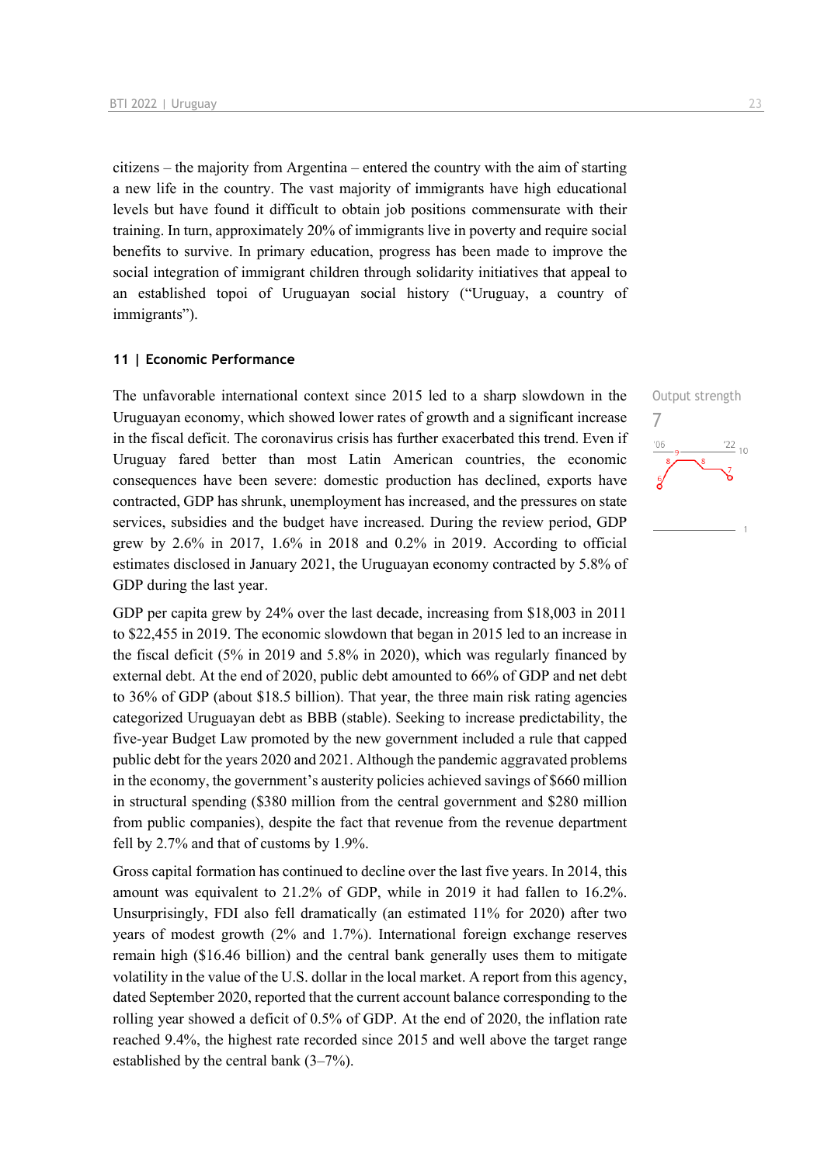citizens – the majority from Argentina – entered the country with the aim of starting a new life in the country. The vast majority of immigrants have high educational levels but have found it difficult to obtain job positions commensurate with their training. In turn, approximately 20% of immigrants live in poverty and require social benefits to survive. In primary education, progress has been made to improve the social integration of immigrant children through solidarity initiatives that appeal to an established topoi of Uruguayan social history ("Uruguay, a country of immigrants").

### **11 | Economic Performance**

The unfavorable international context since 2015 led to a sharp slowdown in the Uruguayan economy, which showed lower rates of growth and a significant increase in the fiscal deficit. The coronavirus crisis has further exacerbated this trend. Even if Uruguay fared better than most Latin American countries, the economic consequences have been severe: domestic production has declined, exports have contracted, GDP has shrunk, unemployment has increased, and the pressures on state services, subsidies and the budget have increased. During the review period, GDP grew by 2.6% in 2017, 1.6% in 2018 and 0.2% in 2019. According to official estimates disclosed in January 2021, the Uruguayan economy contracted by 5.8% of GDP during the last year.

GDP per capita grew by 24% over the last decade, increasing from \$18,003 in 2011 to \$22,455 in 2019. The economic slowdown that began in 2015 led to an increase in the fiscal deficit (5% in 2019 and 5.8% in 2020), which was regularly financed by external debt. At the end of 2020, public debt amounted to 66% of GDP and net debt to 36% of GDP (about \$18.5 billion). That year, the three main risk rating agencies categorized Uruguayan debt as BBB (stable). Seeking to increase predictability, the five-year Budget Law promoted by the new government included a rule that capped public debt for the years 2020 and 2021. Although the pandemic aggravated problems in the economy, the government's austerity policies achieved savings of \$660 million in structural spending (\$380 million from the central government and \$280 million from public companies), despite the fact that revenue from the revenue department fell by 2.7% and that of customs by 1.9%.

Gross capital formation has continued to decline over the last five years. In 2014, this amount was equivalent to 21.2% of GDP, while in 2019 it had fallen to 16.2%. Unsurprisingly, FDI also fell dramatically (an estimated 11% for 2020) after two years of modest growth (2% and 1.7%). International foreign exchange reserves remain high (\$16.46 billion) and the central bank generally uses them to mitigate volatility in the value of the U.S. dollar in the local market. A report from this agency, dated September 2020, reported that the current account balance corresponding to the rolling year showed a deficit of 0.5% of GDP. At the end of 2020, the inflation rate reached 9.4%, the highest rate recorded since 2015 and well above the target range established by the central bank (3–7%).

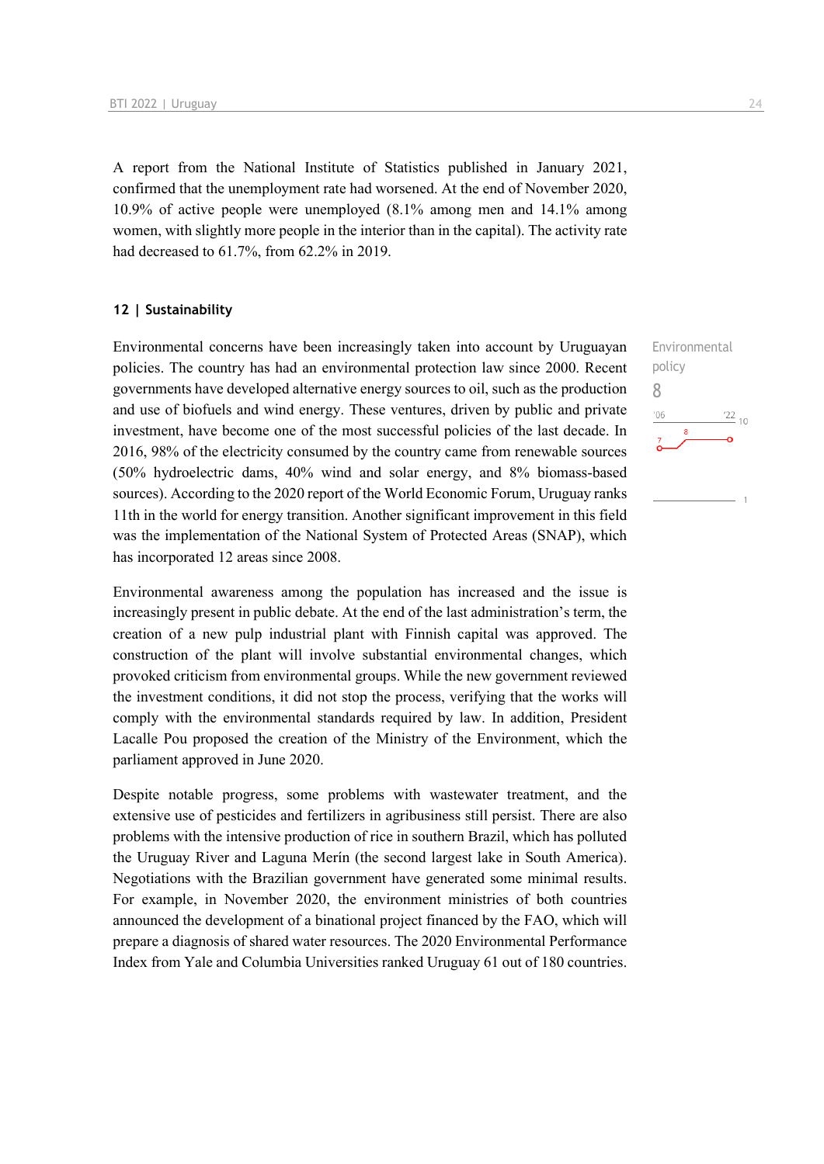A report from the National Institute of Statistics published in January 2021, confirmed that the unemployment rate had worsened. At the end of November 2020, 10.9% of active people were unemployed (8.1% among men and 14.1% among women, with slightly more people in the interior than in the capital). The activity rate had decreased to 61.7%, from 62.2% in 2019.

### **12 | Sustainability**

Environmental concerns have been increasingly taken into account by Uruguayan policies. The country has had an environmental protection law since 2000. Recent governments have developed alternative energy sources to oil, such as the production and use of biofuels and wind energy. These ventures, driven by public and private investment, have become one of the most successful policies of the last decade. In 2016, 98% of the electricity consumed by the country came from renewable sources (50% hydroelectric dams, 40% wind and solar energy, and 8% biomass-based sources). According to the 2020 report of the World Economic Forum, Uruguay ranks 11th in the world for energy transition. Another significant improvement in this field was the implementation of the National System of Protected Areas (SNAP), which has incorporated 12 areas since 2008.

Environmental awareness among the population has increased and the issue is increasingly present in public debate. At the end of the last administration's term, the creation of a new pulp industrial plant with Finnish capital was approved. The construction of the plant will involve substantial environmental changes, which provoked criticism from environmental groups. While the new government reviewed the investment conditions, it did not stop the process, verifying that the works will comply with the environmental standards required by law. In addition, President Lacalle Pou proposed the creation of the Ministry of the Environment, which the parliament approved in June 2020.

Despite notable progress, some problems with wastewater treatment, and the extensive use of pesticides and fertilizers in agribusiness still persist. There are also problems with the intensive production of rice in southern Brazil, which has polluted the Uruguay River and Laguna Merín (the second largest lake in South America). Negotiations with the Brazilian government have generated some minimal results. For example, in November 2020, the environment ministries of both countries announced the development of a binational project financed by the FAO, which will prepare a diagnosis of shared water resources. The 2020 Environmental Performance Index from Yale and Columbia Universities ranked Uruguay 61 out of 180 countries. Environmental policy 8 $\frac{22}{10}$ '06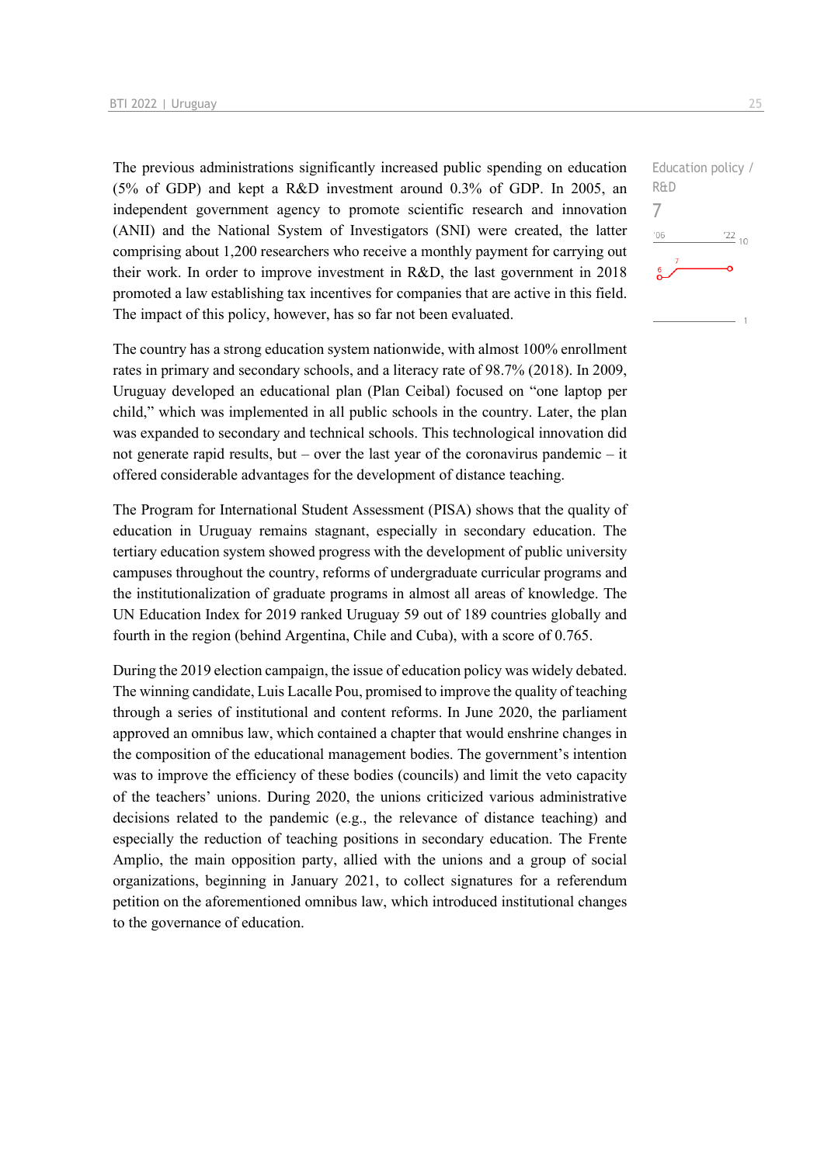The previous administrations significantly increased public spending on education (5% of GDP) and kept a R&D investment around 0.3% of GDP. In 2005, an independent government agency to promote scientific research and innovation (ANII) and the National System of Investigators (SNI) were created, the latter comprising about 1,200 researchers who receive a monthly payment for carrying out their work. In order to improve investment in R&D, the last government in 2018 promoted a law establishing tax incentives for companies that are active in this field. The impact of this policy, however, has so far not been evaluated.

The country has a strong education system nationwide, with almost 100% enrollment rates in primary and secondary schools, and a literacy rate of 98.7% (2018). In 2009, Uruguay developed an educational plan (Plan Ceibal) focused on "one laptop per child," which was implemented in all public schools in the country. Later, the plan was expanded to secondary and technical schools. This technological innovation did not generate rapid results, but – over the last year of the coronavirus pandemic – it offered considerable advantages for the development of distance teaching.

The Program for International Student Assessment (PISA) shows that the quality of education in Uruguay remains stagnant, especially in secondary education. The tertiary education system showed progress with the development of public university campuses throughout the country, reforms of undergraduate curricular programs and the institutionalization of graduate programs in almost all areas of knowledge. The UN Education Index for 2019 ranked Uruguay 59 out of 189 countries globally and fourth in the region (behind Argentina, Chile and Cuba), with a score of 0.765.

During the 2019 election campaign, the issue of education policy was widely debated. The winning candidate, Luis Lacalle Pou, promised to improve the quality of teaching through a series of institutional and content reforms. In June 2020, the parliament approved an omnibus law, which contained a chapter that would enshrine changes in the composition of the educational management bodies. The government's intention was to improve the efficiency of these bodies (councils) and limit the veto capacity of the teachers' unions. During 2020, the unions criticized various administrative decisions related to the pandemic (e.g., the relevance of distance teaching) and especially the reduction of teaching positions in secondary education. The Frente Amplio, the main opposition party, allied with the unions and a group of social organizations, beginning in January 2021, to collect signatures for a referendum petition on the aforementioned omnibus law, which introduced institutional changes to the governance of education.

Education policy / R&D 7 $-06$  $\frac{22}{10}$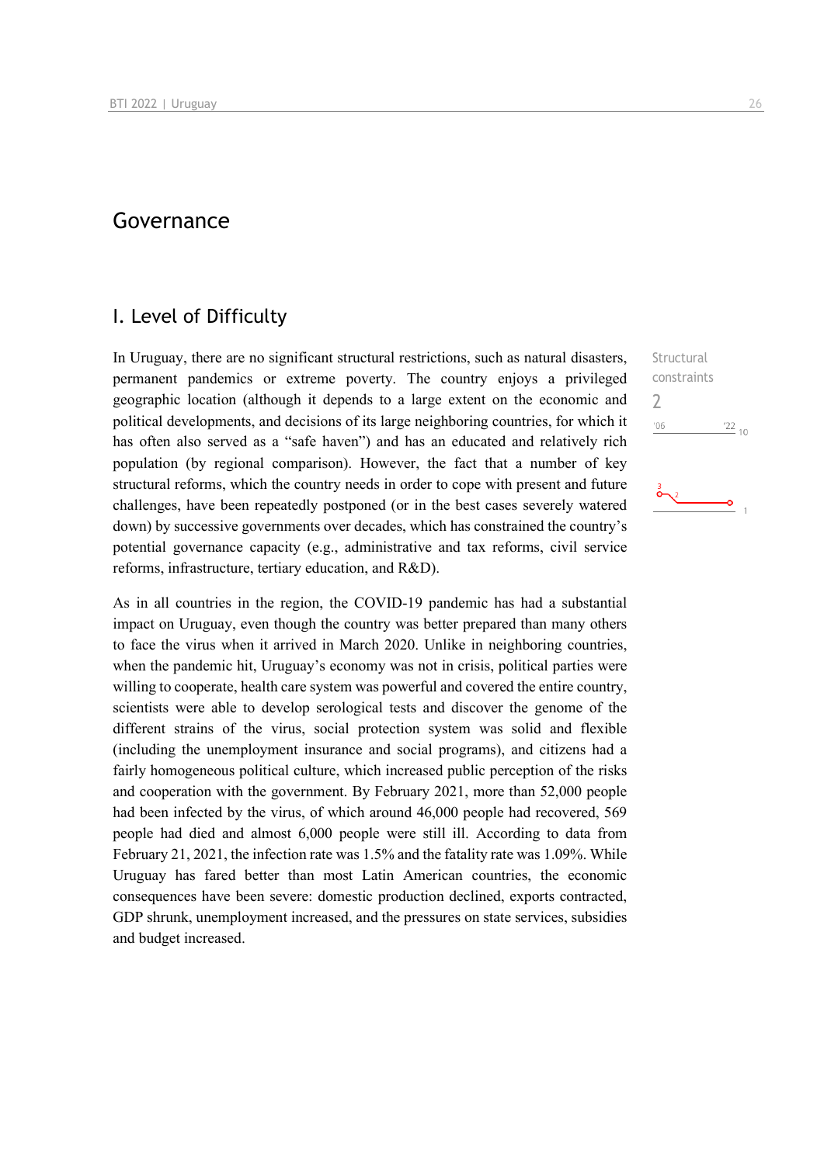# Governance

### I. Level of Difficulty

In Uruguay, there are no significant structural restrictions, such as natural disasters, permanent pandemics or extreme poverty. The country enjoys a privileged geographic location (although it depends to a large extent on the economic and political developments, and decisions of its large neighboring countries, for which it has often also served as a "safe haven") and has an educated and relatively rich population (by regional comparison). However, the fact that a number of key structural reforms, which the country needs in order to cope with present and future challenges, have been repeatedly postponed (or in the best cases severely watered down) by successive governments over decades, which has constrained the country's potential governance capacity (e.g., administrative and tax reforms, civil service reforms, infrastructure, tertiary education, and R&D).

As in all countries in the region, the COVID-19 pandemic has had a substantial impact on Uruguay, even though the country was better prepared than many others to face the virus when it arrived in March 2020. Unlike in neighboring countries, when the pandemic hit, Uruguay's economy was not in crisis, political parties were willing to cooperate, health care system was powerful and covered the entire country, scientists were able to develop serological tests and discover the genome of the different strains of the virus, social protection system was solid and flexible (including the unemployment insurance and social programs), and citizens had a fairly homogeneous political culture, which increased public perception of the risks and cooperation with the government. By February 2021, more than 52,000 people had been infected by the virus, of which around 46,000 people had recovered, 569 people had died and almost 6,000 people were still ill. According to data from February 21, 2021, the infection rate was 1.5% and the fatality rate was 1.09%. While Uruguay has fared better than most Latin American countries, the economic consequences have been severe: domestic production declined, exports contracted, GDP shrunk, unemployment increased, and the pressures on state services, subsidies and budget increased.

Structural constraints 2 $106$  $\frac{22}{10}$ 

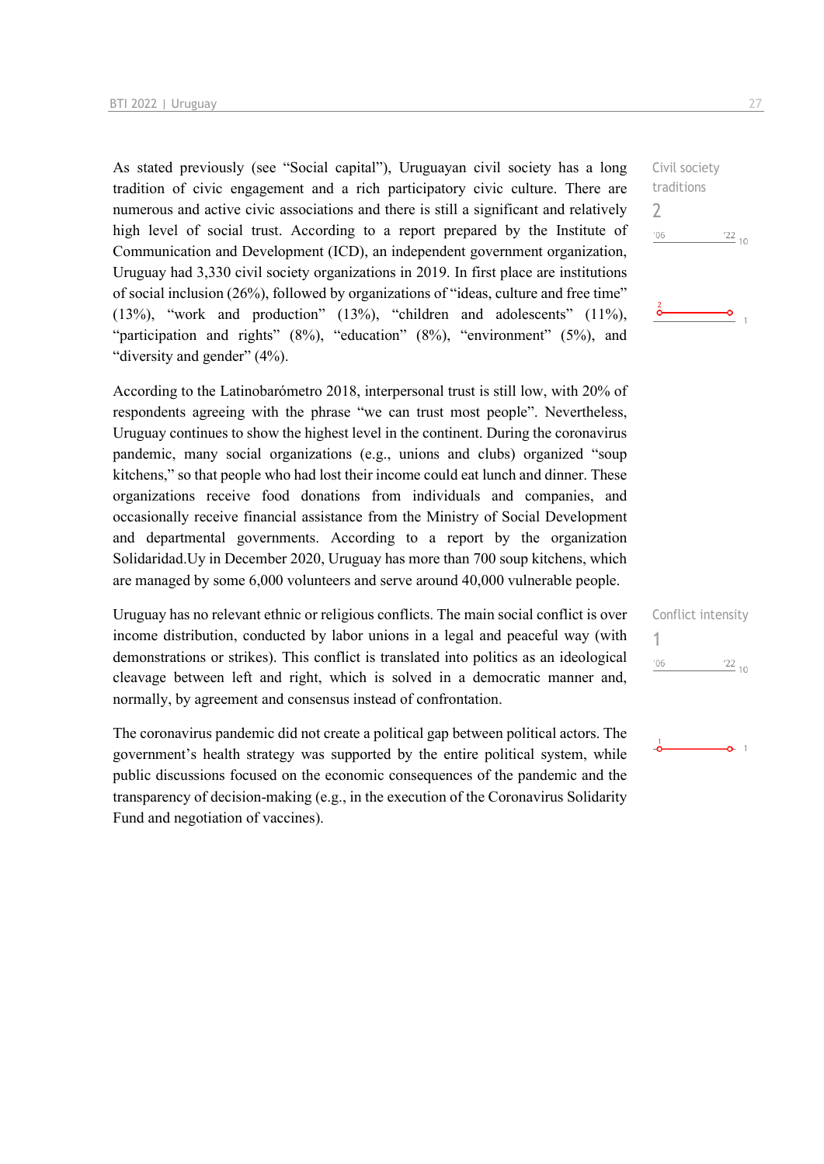As stated previously (see "Social capital"), Uruguayan civil society has a long tradition of civic engagement and a rich participatory civic culture. There are numerous and active civic associations and there is still a significant and relatively high level of social trust. According to a report prepared by the Institute of Communication and Development (ICD), an independent government organization, Uruguay had 3,330 civil society organizations in 2019. In first place are institutions of social inclusion (26%), followed by organizations of "ideas, culture and free time" (13%), "work and production" (13%), "children and adolescents" (11%), "participation and rights" (8%), "education" (8%), "environment" (5%), and "diversity and gender" (4%).

According to the Latinobarómetro 2018, interpersonal trust is still low, with 20% of respondents agreeing with the phrase "we can trust most people". Nevertheless, Uruguay continues to show the highest level in the continent. During the coronavirus pandemic, many social organizations (e.g., unions and clubs) organized "soup kitchens," so that people who had lost their income could eat lunch and dinner. These organizations receive food donations from individuals and companies, and occasionally receive financial assistance from the Ministry of Social Development and departmental governments. According to a report by the organization Solidaridad.Uy in December 2020, Uruguay has more than 700 soup kitchens, which are managed by some 6,000 volunteers and serve around 40,000 vulnerable people.

Uruguay has no relevant ethnic or religious conflicts. The main social conflict is over income distribution, conducted by labor unions in a legal and peaceful way (with demonstrations or strikes). This conflict is translated into politics as an ideological cleavage between left and right, which is solved in a democratic manner and, normally, by agreement and consensus instead of confrontation.

The coronavirus pandemic did not create a political gap between political actors. The government's health strategy was supported by the entire political system, while public discussions focused on the economic consequences of the pandemic and the transparency of decision-making (e.g., in the execution of the Coronavirus Solidarity Fund and negotiation of vaccines).

|               | $\frac{22}{10}$ |  |
|---------------|-----------------|--|
| '06           |                 |  |
| traditions    |                 |  |
| Civil society |                 |  |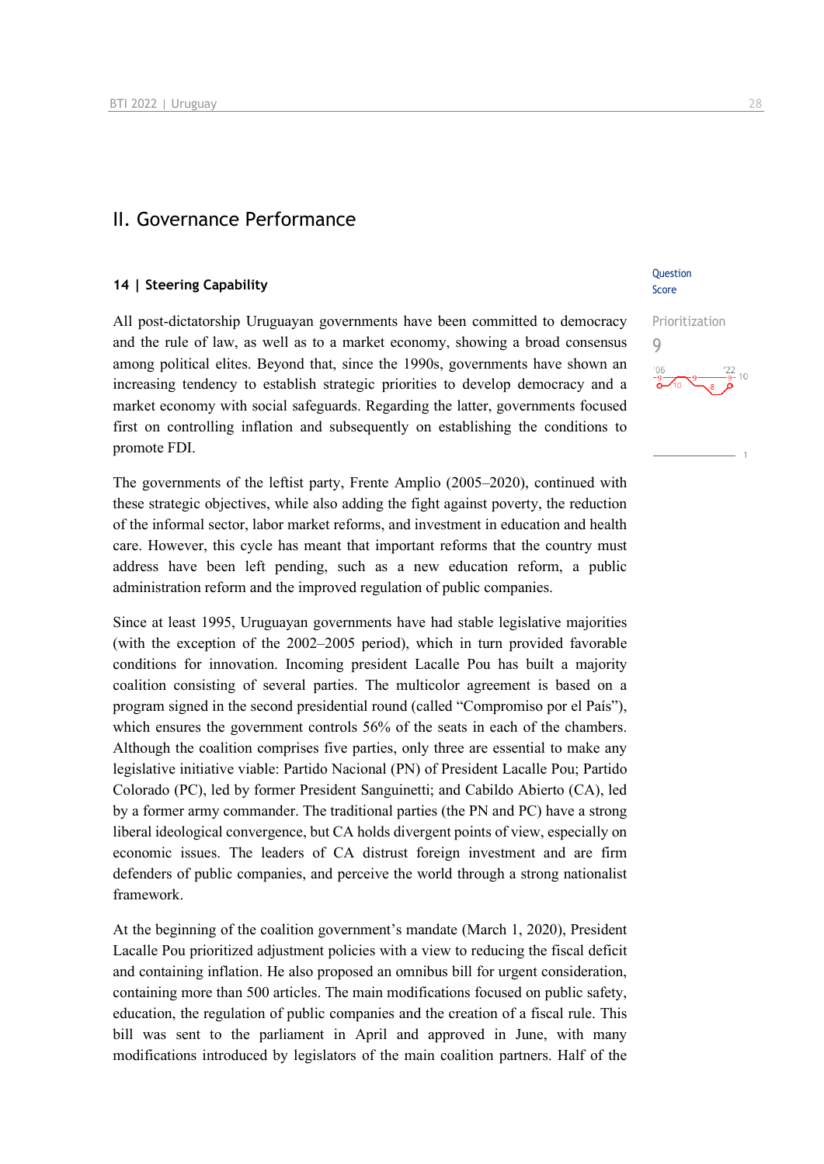### II. Governance Performance

### **14 | Steering Capability**

All post-dictatorship Uruguayan governments have been committed to democracy and the rule of law, as well as to a market economy, showing a broad consensus among political elites. Beyond that, since the 1990s, governments have shown an increasing tendency to establish strategic priorities to develop democracy and a market economy with social safeguards. Regarding the latter, governments focused first on controlling inflation and subsequently on establishing the conditions to promote FDI.

The governments of the leftist party, Frente Amplio (2005–2020), continued with these strategic objectives, while also adding the fight against poverty, the reduction of the informal sector, labor market reforms, and investment in education and health care. However, this cycle has meant that important reforms that the country must address have been left pending, such as a new education reform, a public administration reform and the improved regulation of public companies.

Since at least 1995, Uruguayan governments have had stable legislative majorities (with the exception of the 2002–2005 period), which in turn provided favorable conditions for innovation. Incoming president Lacalle Pou has built a majority coalition consisting of several parties. The multicolor agreement is based on a program signed in the second presidential round (called "Compromiso por el País"), which ensures the government controls 56% of the seats in each of the chambers. Although the coalition comprises five parties, only three are essential to make any legislative initiative viable: Partido Nacional (PN) of President Lacalle Pou; Partido Colorado (PC), led by former President Sanguinetti; and Cabildo Abierto (CA), led by a former army commander. The traditional parties (the PN and PC) have a strong liberal ideological convergence, but CA holds divergent points of view, especially on economic issues. The leaders of CA distrust foreign investment and are firm defenders of public companies, and perceive the world through a strong nationalist framework.

At the beginning of the coalition government's mandate (March 1, 2020), President Lacalle Pou prioritized adjustment policies with a view to reducing the fiscal deficit and containing inflation. He also proposed an omnibus bill for urgent consideration, containing more than 500 articles. The main modifications focused on public safety, education, the regulation of public companies and the creation of a fiscal rule. This bill was sent to the parliament in April and approved in June, with many modifications introduced by legislators of the main coalition partners. Half of the

### **Ouestion** Score

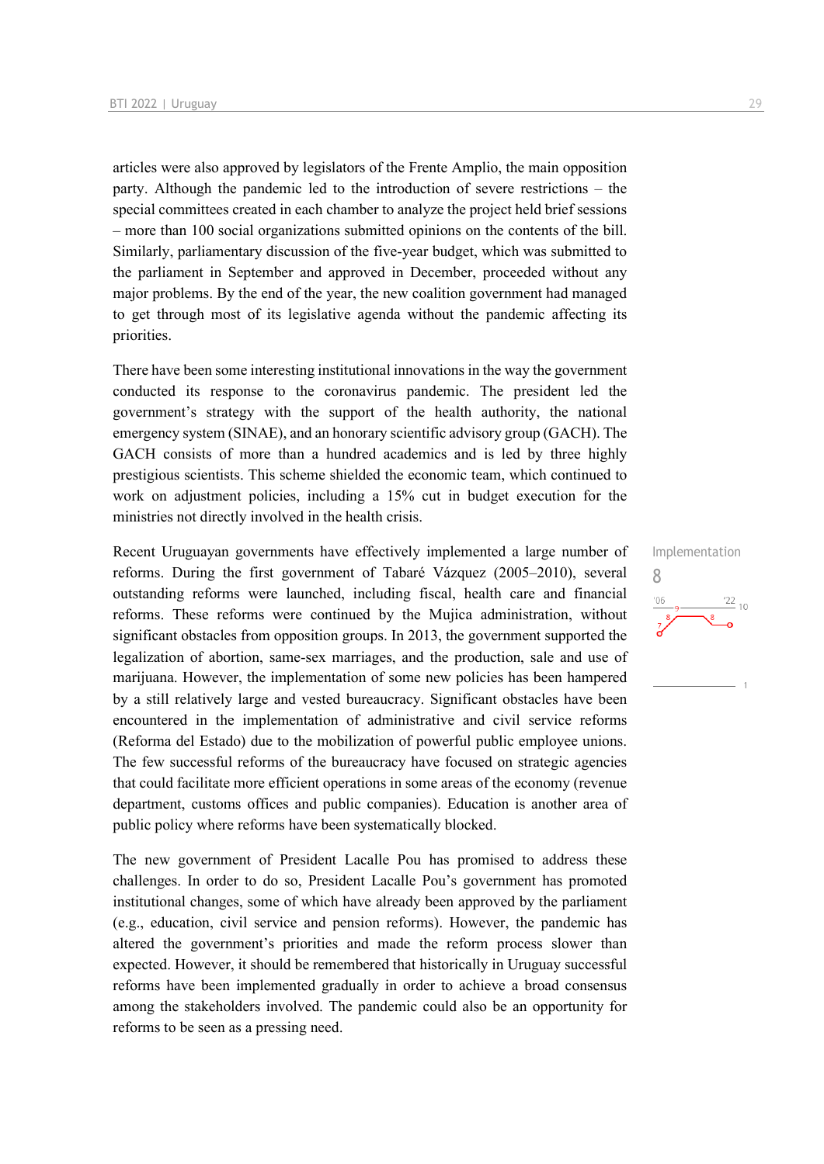articles were also approved by legislators of the Frente Amplio, the main opposition party. Although the pandemic led to the introduction of severe restrictions – the special committees created in each chamber to analyze the project held brief sessions – more than 100 social organizations submitted opinions on the contents of the bill. Similarly, parliamentary discussion of the five-year budget, which was submitted to the parliament in September and approved in December, proceeded without any major problems. By the end of the year, the new coalition government had managed to get through most of its legislative agenda without the pandemic affecting its priorities.

There have been some interesting institutional innovations in the way the government conducted its response to the coronavirus pandemic. The president led the government's strategy with the support of the health authority, the national emergency system (SINAE), and an honorary scientific advisory group (GACH). The GACH consists of more than a hundred academics and is led by three highly prestigious scientists. This scheme shielded the economic team, which continued to work on adjustment policies, including a 15% cut in budget execution for the ministries not directly involved in the health crisis.

Recent Uruguayan governments have effectively implemented a large number of reforms. During the first government of Tabaré Vázquez (2005–2010), several outstanding reforms were launched, including fiscal, health care and financial reforms. These reforms were continued by the Mujica administration, without significant obstacles from opposition groups. In 2013, the government supported the legalization of abortion, same-sex marriages, and the production, sale and use of marijuana. However, the implementation of some new policies has been hampered by a still relatively large and vested bureaucracy. Significant obstacles have been encountered in the implementation of administrative and civil service reforms (Reforma del Estado) due to the mobilization of powerful public employee unions. The few successful reforms of the bureaucracy have focused on strategic agencies that could facilitate more efficient operations in some areas of the economy (revenue department, customs offices and public companies). Education is another area of public policy where reforms have been systematically blocked.

The new government of President Lacalle Pou has promised to address these challenges. In order to do so, President Lacalle Pou's government has promoted institutional changes, some of which have already been approved by the parliament (e.g., education, civil service and pension reforms). However, the pandemic has altered the government's priorities and made the reform process slower than expected. However, it should be remembered that historically in Uruguay successful reforms have been implemented gradually in order to achieve a broad consensus among the stakeholders involved. The pandemic could also be an opportunity for reforms to be seen as a pressing need.

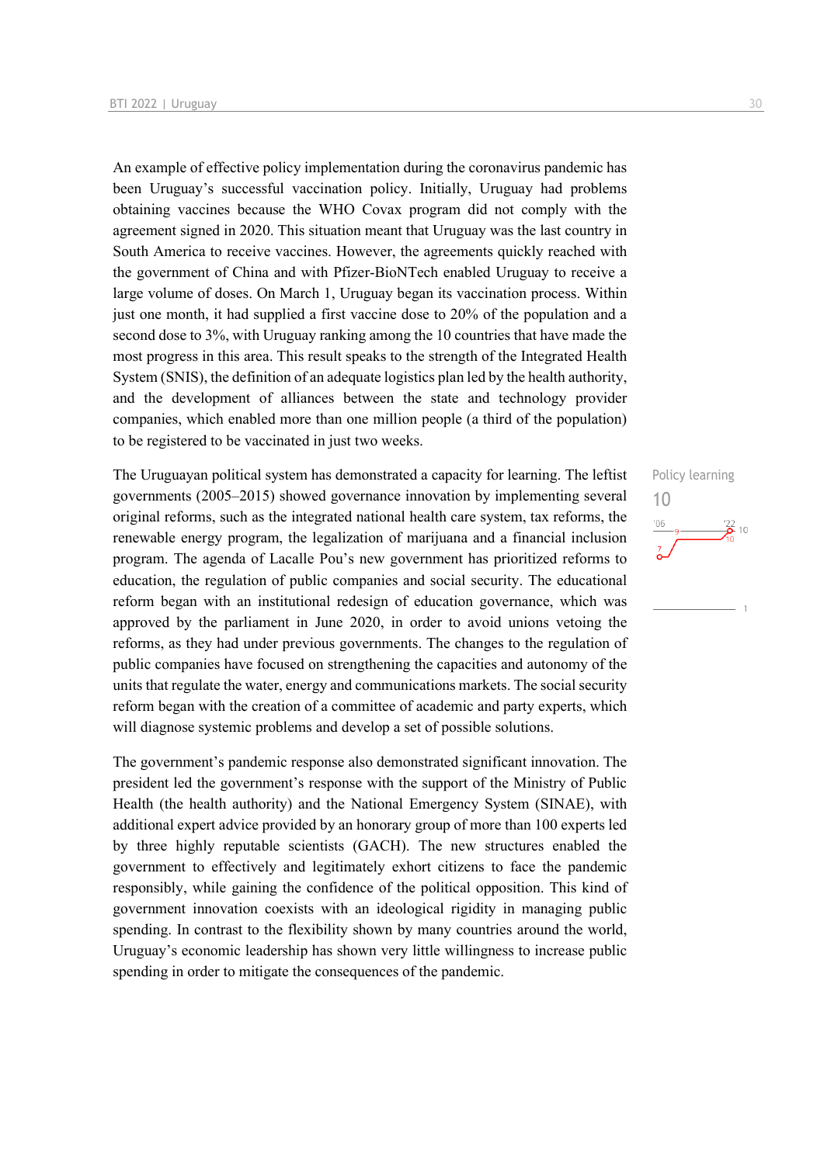An example of effective policy implementation during the coronavirus pandemic has been Uruguay's successful vaccination policy. Initially, Uruguay had problems obtaining vaccines because the WHO Covax program did not comply with the agreement signed in 2020. This situation meant that Uruguay was the last country in South America to receive vaccines. However, the agreements quickly reached with the government of China and with Pfizer-BioNTech enabled Uruguay to receive a large volume of doses. On March 1, Uruguay began its vaccination process. Within just one month, it had supplied a first vaccine dose to 20% of the population and a second dose to 3%, with Uruguay ranking among the 10 countries that have made the most progress in this area. This result speaks to the strength of the Integrated Health System (SNIS), the definition of an adequate logistics plan led by the health authority, and the development of alliances between the state and technology provider companies, which enabled more than one million people (a third of the population) to be registered to be vaccinated in just two weeks.

The Uruguayan political system has demonstrated a capacity for learning. The leftist governments (2005–2015) showed governance innovation by implementing several original reforms, such as the integrated national health care system, tax reforms, the renewable energy program, the legalization of marijuana and a financial inclusion program. The agenda of Lacalle Pou's new government has prioritized reforms to education, the regulation of public companies and social security. The educational reform began with an institutional redesign of education governance, which was approved by the parliament in June 2020, in order to avoid unions vetoing the reforms, as they had under previous governments. The changes to the regulation of public companies have focused on strengthening the capacities and autonomy of the units that regulate the water, energy and communications markets. The social security reform began with the creation of a committee of academic and party experts, which will diagnose systemic problems and develop a set of possible solutions.

The government's pandemic response also demonstrated significant innovation. The president led the government's response with the support of the Ministry of Public Health (the health authority) and the National Emergency System (SINAE), with additional expert advice provided by an honorary group of more than 100 experts led by three highly reputable scientists (GACH). The new structures enabled the government to effectively and legitimately exhort citizens to face the pandemic responsibly, while gaining the confidence of the political opposition. This kind of government innovation coexists with an ideological rigidity in managing public spending. In contrast to the flexibility shown by many countries around the world, Uruguay's economic leadership has shown very little willingness to increase public spending in order to mitigate the consequences of the pandemic.

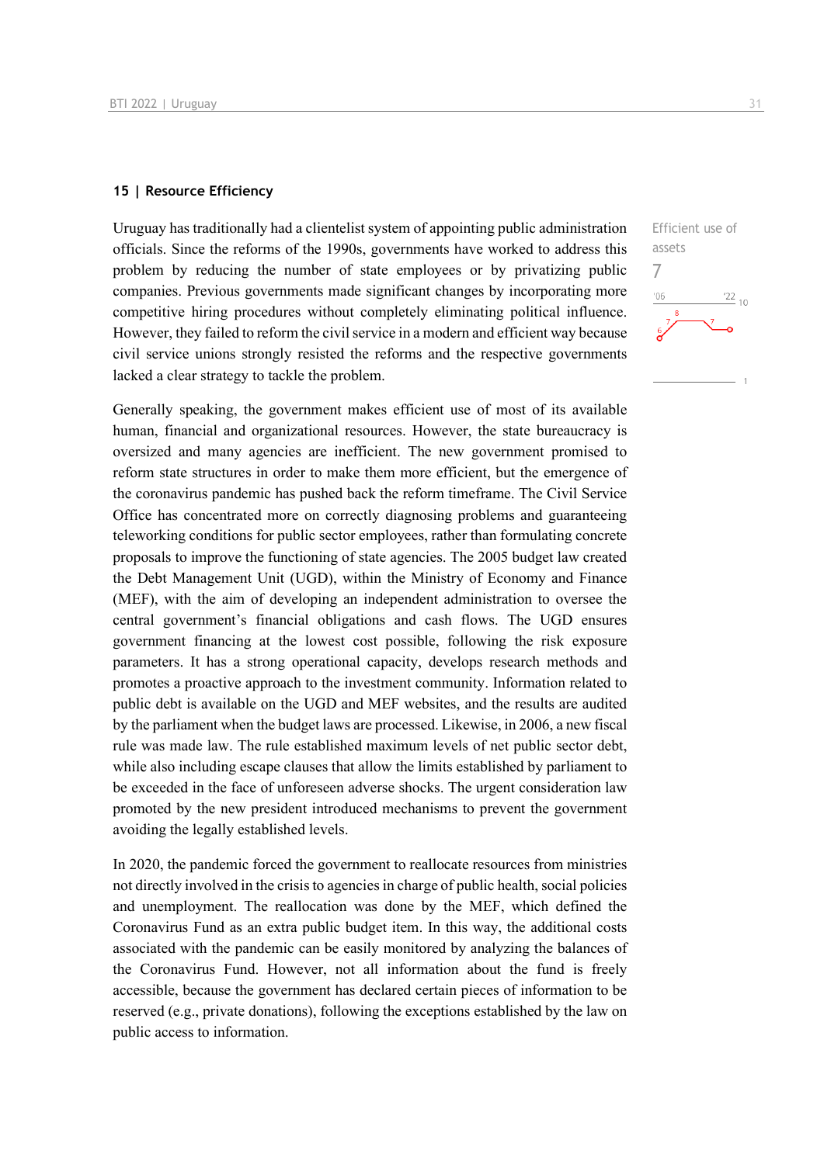### **15 | Resource Efficiency**

Uruguay has traditionally had a clientelist system of appointing public administration officials. Since the reforms of the 1990s, governments have worked to address this problem by reducing the number of state employees or by privatizing public companies. Previous governments made significant changes by incorporating more competitive hiring procedures without completely eliminating political influence. However, they failed to reform the civil service in a modern and efficient way because civil service unions strongly resisted the reforms and the respective governments lacked a clear strategy to tackle the problem.

Generally speaking, the government makes efficient use of most of its available human, financial and organizational resources. However, the state bureaucracy is oversized and many agencies are inefficient. The new government promised to reform state structures in order to make them more efficient, but the emergence of the coronavirus pandemic has pushed back the reform timeframe. The Civil Service Office has concentrated more on correctly diagnosing problems and guaranteeing teleworking conditions for public sector employees, rather than formulating concrete proposals to improve the functioning of state agencies. The 2005 budget law created the Debt Management Unit (UGD), within the Ministry of Economy and Finance (MEF), with the aim of developing an independent administration to oversee the central government's financial obligations and cash flows. The UGD ensures government financing at the lowest cost possible, following the risk exposure parameters. It has a strong operational capacity, develops research methods and promotes a proactive approach to the investment community. Information related to public debt is available on the UGD and MEF websites, and the results are audited by the parliament when the budget laws are processed. Likewise, in 2006, a new fiscal rule was made law. The rule established maximum levels of net public sector debt, while also including escape clauses that allow the limits established by parliament to be exceeded in the face of unforeseen adverse shocks. The urgent consideration law promoted by the new president introduced mechanisms to prevent the government avoiding the legally established levels.

In 2020, the pandemic forced the government to reallocate resources from ministries not directly involved in the crisis to agencies in charge of public health, social policies and unemployment. The reallocation was done by the MEF, which defined the Coronavirus Fund as an extra public budget item. In this way, the additional costs associated with the pandemic can be easily monitored by analyzing the balances of the Coronavirus Fund. However, not all information about the fund is freely accessible, because the government has declared certain pieces of information to be reserved (e.g., private donations), following the exceptions established by the law on public access to information.

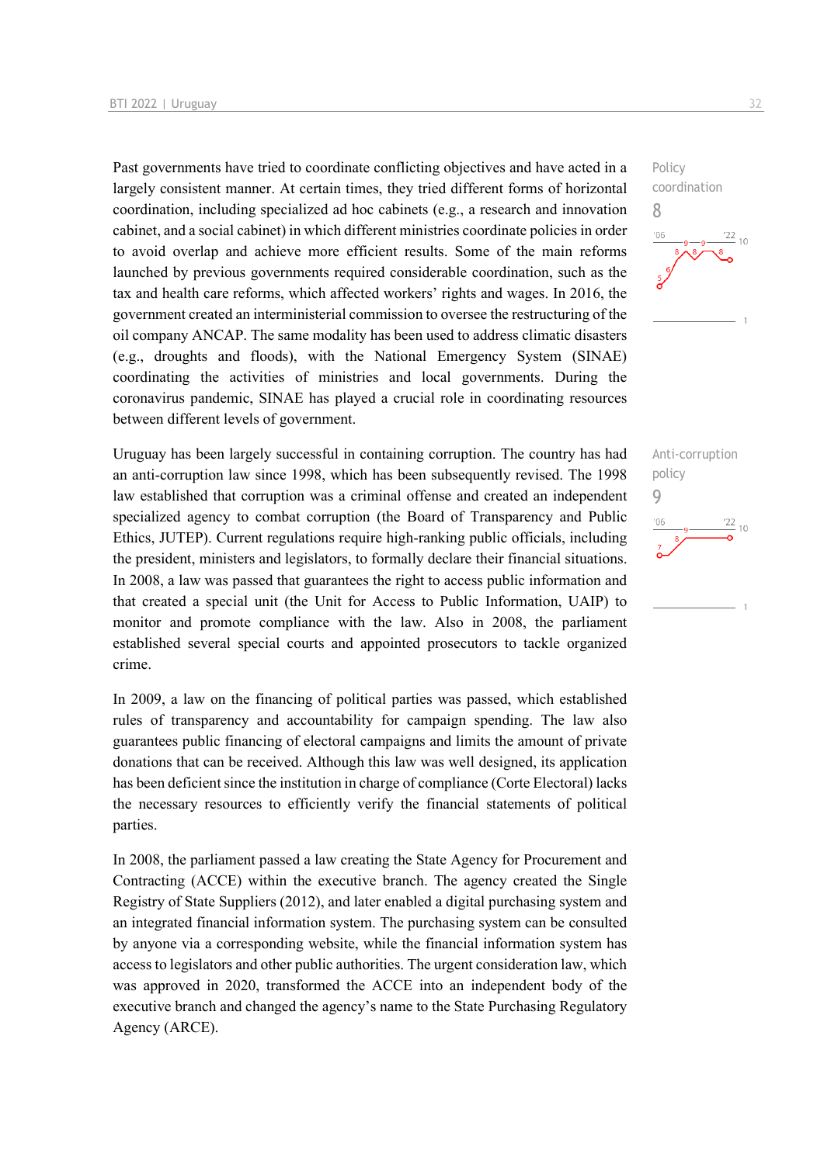Past governments have tried to coordinate conflicting objectives and have acted in a largely consistent manner. At certain times, they tried different forms of horizontal coordination, including specialized ad hoc cabinets (e.g., a research and innovation cabinet, and a social cabinet) in which different ministries coordinate policies in order to avoid overlap and achieve more efficient results. Some of the main reforms launched by previous governments required considerable coordination, such as the tax and health care reforms, which affected workers' rights and wages. In 2016, the government created an interministerial commission to oversee the restructuring of the oil company ANCAP. The same modality has been used to address climatic disasters (e.g., droughts and floods), with the National Emergency System (SINAE) coordinating the activities of ministries and local governments. During the coronavirus pandemic, SINAE has played a crucial role in coordinating resources between different levels of government.

Uruguay has been largely successful in containing corruption. The country has had an anti-corruption law since 1998, which has been subsequently revised. The 1998 law established that corruption was a criminal offense and created an independent specialized agency to combat corruption (the Board of Transparency and Public Ethics, JUTEP). Current regulations require high-ranking public officials, including the president, ministers and legislators, to formally declare their financial situations. In 2008, a law was passed that guarantees the right to access public information and that created a special unit (the Unit for Access to Public Information, UAIP) to monitor and promote compliance with the law. Also in 2008, the parliament established several special courts and appointed prosecutors to tackle organized crime.

In 2009, a law on the financing of political parties was passed, which established rules of transparency and accountability for campaign spending. The law also guarantees public financing of electoral campaigns and limits the amount of private donations that can be received. Although this law was well designed, its application has been deficient since the institution in charge of compliance (Corte Electoral) lacks the necessary resources to efficiently verify the financial statements of political parties.

In 2008, the parliament passed a law creating the State Agency for Procurement and Contracting (ACCE) within the executive branch. The agency created the Single Registry of State Suppliers (2012), and later enabled a digital purchasing system and an integrated financial information system. The purchasing system can be consulted by anyone via a corresponding website, while the financial information system has access to legislators and other public authorities. The urgent consideration law, which was approved in 2020, transformed the ACCE into an independent body of the executive branch and changed the agency's name to the State Purchasing Regulatory Agency (ARCE).



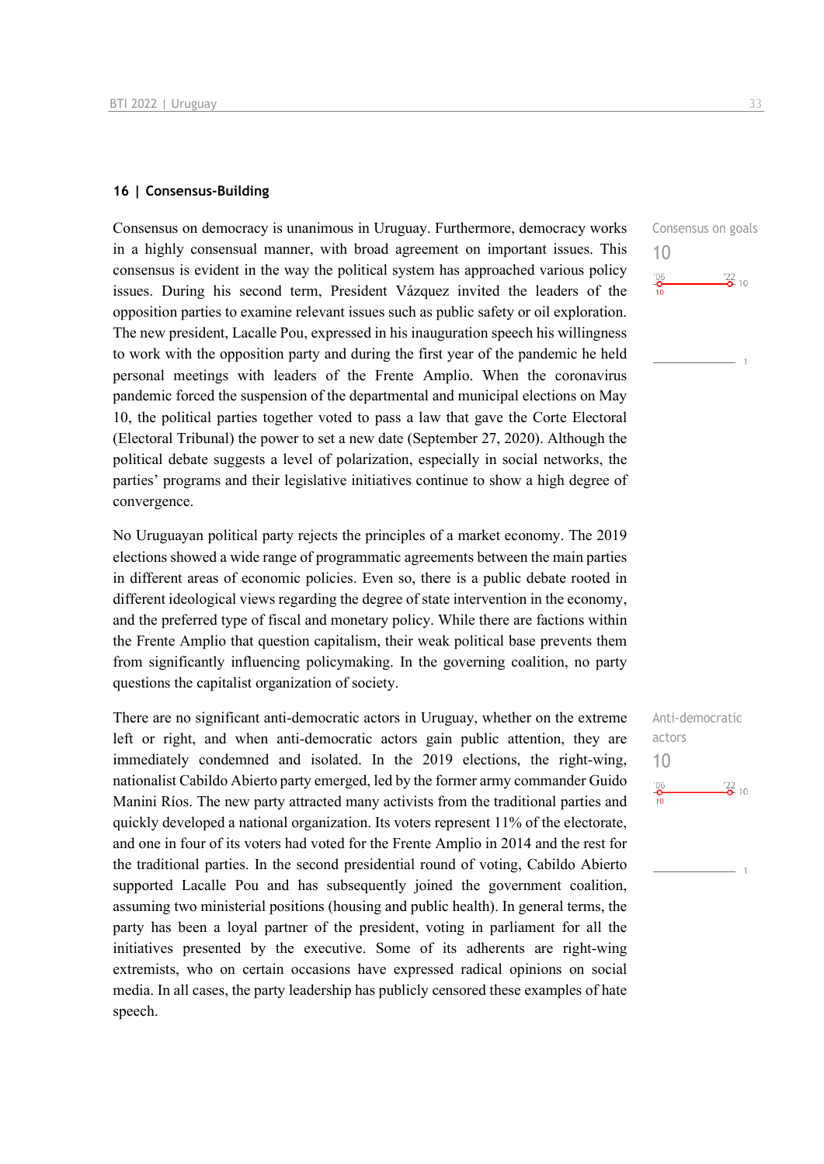### **16 | Consensus-Building**

Consensus on democracy is unanimous in Uruguay. Furthermore, democracy works in a highly consensual manner, with broad agreement on important issues. This consensus is evident in the way the political system has approached various policy issues. During his second term, President Vázquez invited the leaders of the opposition parties to examine relevant issues such as public safety or oil exploration. The new president, Lacalle Pou, expressed in his inauguration speech his willingness to work with the opposition party and during the first year of the pandemic he held personal meetings with leaders of the Frente Amplio. When the coronavirus pandemic forced the suspension of the departmental and municipal elections on May 10, the political parties together voted to pass a law that gave the Corte Electoral (Electoral Tribunal) the power to set a new date (September 27, 2020). Although the political debate suggests a level of polarization, especially in social networks, the parties' programs and their legislative initiatives continue to show a high degree of convergence.

No Uruguayan political party rejects the principles of a market economy. The 2019 elections showed a wide range of programmatic agreements between the main parties in different areas of economic policies. Even so, there is a public debate rooted in different ideological views regarding the degree of state intervention in the economy, and the preferred type of fiscal and monetary policy. While there are factions within the Frente Amplio that question capitalism, their weak political base prevents them from significantly influencing policymaking. In the governing coalition, no party questions the capitalist organization of society.

There are no significant anti-democratic actors in Uruguay, whether on the extreme left or right, and when anti-democratic actors gain public attention, they are immediately condemned and isolated. In the 2019 elections, the right-wing, nationalist Cabildo Abierto party emerged, led by the former army commander Guido Manini Ríos. The new party attracted many activists from the traditional parties and quickly developed a national organization. Its voters represent 11% of the electorate, and one in four of its voters had voted for the Frente Amplio in 2014 and the rest for the traditional parties. In the second presidential round of voting, Cabildo Abierto supported Lacalle Pou and has subsequently joined the government coalition, assuming two ministerial positions (housing and public health). In general terms, the party has been a loyal partner of the president, voting in parliament for all the initiatives presented by the executive. Some of its adherents are right-wing extremists, who on certain occasions have expressed radical opinions on social media. In all cases, the party leadership has publicly censored these examples of hate speech.

Consensus on goals 10  $^{106}$  $\frac{22}{2}$  10

Anti-democratic actors 10 $^{206}_{-0}$  $\frac{22}{2}$  10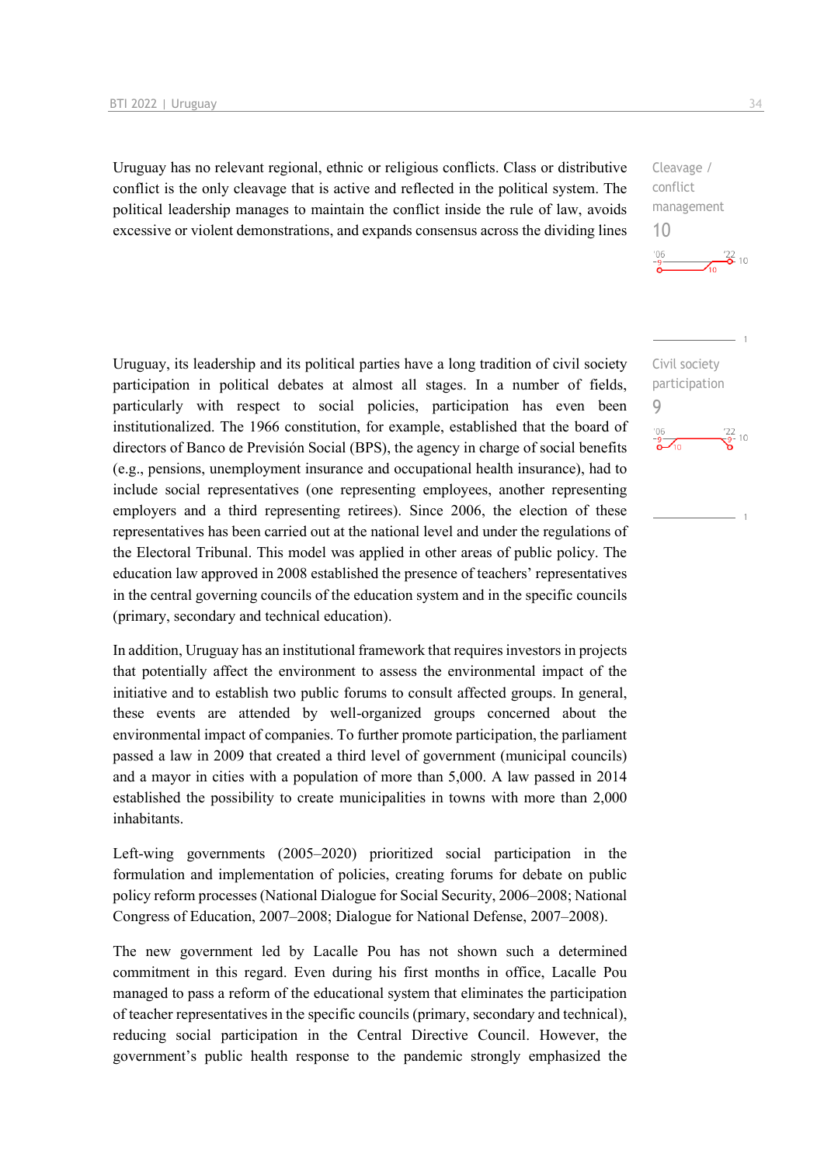Uruguay has no relevant regional, ethnic or religious conflicts. Class or distributive conflict is the only cleavage that is active and reflected in the political system. The political leadership manages to maintain the conflict inside the rule of law, avoids excessive or violent demonstrations, and expands consensus across the dividing lines

Uruguay, its leadership and its political parties have a long tradition of civil society participation in political debates at almost all stages. In a number of fields, particularly with respect to social policies, participation has even been institutionalized. The 1966 constitution, for example, established that the board of directors of Banco de Previsión Social (BPS), the agency in charge of social benefits (e.g., pensions, unemployment insurance and occupational health insurance), had to include social representatives (one representing employees, another representing employers and a third representing retirees). Since 2006, the election of these representatives has been carried out at the national level and under the regulations of the Electoral Tribunal. This model was applied in other areas of public policy. The education law approved in 2008 established the presence of teachers' representatives in the central governing councils of the education system and in the specific councils (primary, secondary and technical education).

In addition, Uruguay has an institutional framework that requires investors in projects that potentially affect the environment to assess the environmental impact of the initiative and to establish two public forums to consult affected groups. In general, these events are attended by well-organized groups concerned about the environmental impact of companies. To further promote participation, the parliament passed a law in 2009 that created a third level of government (municipal councils) and a mayor in cities with a population of more than 5,000. A law passed in 2014 established the possibility to create municipalities in towns with more than 2,000 inhabitants.

Left-wing governments (2005–2020) prioritized social participation in the formulation and implementation of policies, creating forums for debate on public policy reform processes (National Dialogue for Social Security, 2006–2008; National Congress of Education, 2007–2008; Dialogue for National Defense, 2007–2008).

The new government led by Lacalle Pou has not shown such a determined commitment in this regard. Even during his first months in office, Lacalle Pou managed to pass a reform of the educational system that eliminates the participation of teacher representatives in the specific councils (primary, secondary and technical), reducing social participation in the Central Directive Council. However, the government's public health response to the pandemic strongly emphasized the

 $\frac{22}{2}$  10

 $\frac{22}{9}$ - 10

Cleavage / conflict management

Civil society participation

9

10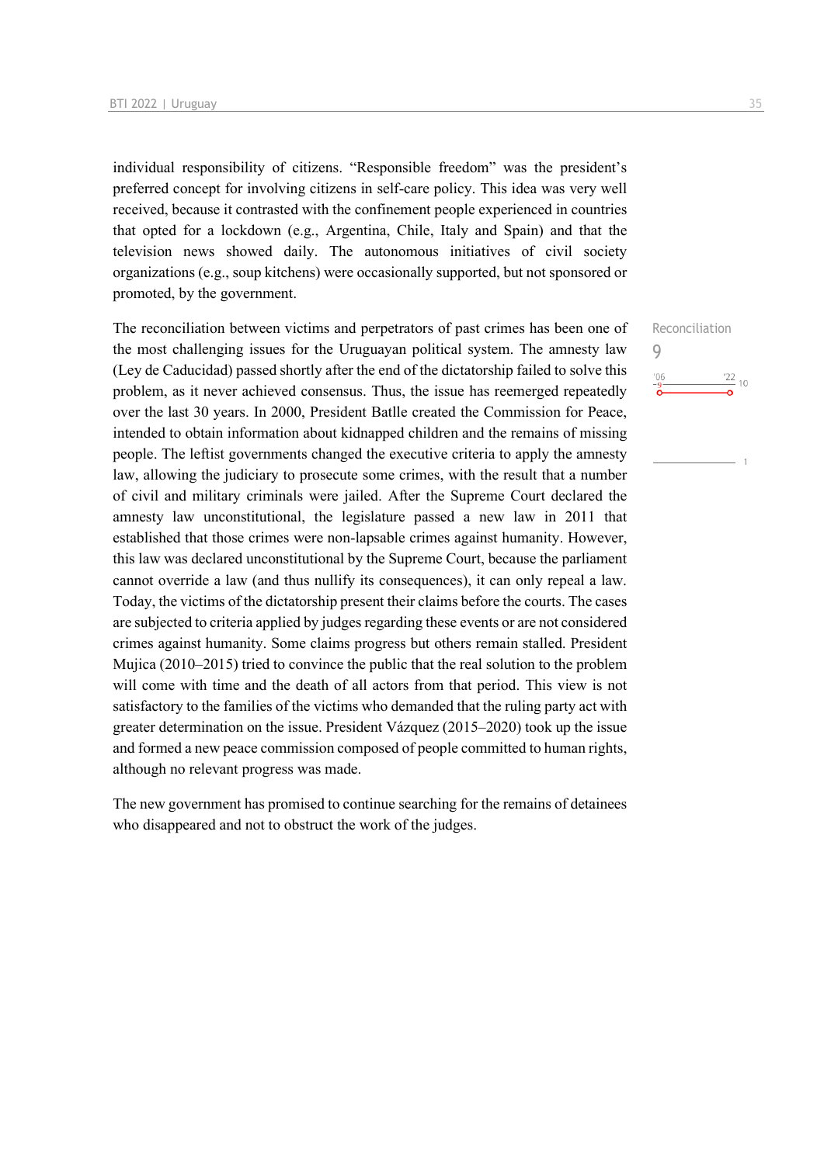individual responsibility of citizens. "Responsible freedom" was the president's preferred concept for involving citizens in self-care policy. This idea was very well received, because it contrasted with the confinement people experienced in countries that opted for a lockdown (e.g., Argentina, Chile, Italy and Spain) and that the television news showed daily. The autonomous initiatives of civil society organizations (e.g., soup kitchens) were occasionally supported, but not sponsored or promoted, by the government.

The reconciliation between victims and perpetrators of past crimes has been one of the most challenging issues for the Uruguayan political system. The amnesty law (Ley de Caducidad) passed shortly after the end of the dictatorship failed to solve this problem, as it never achieved consensus. Thus, the issue has reemerged repeatedly over the last 30 years. In 2000, President Batlle created the Commission for Peace, intended to obtain information about kidnapped children and the remains of missing people. The leftist governments changed the executive criteria to apply the amnesty law, allowing the judiciary to prosecute some crimes, with the result that a number of civil and military criminals were jailed. After the Supreme Court declared the amnesty law unconstitutional, the legislature passed a new law in 2011 that established that those crimes were non-lapsable crimes against humanity. However, this law was declared unconstitutional by the Supreme Court, because the parliament cannot override a law (and thus nullify its consequences), it can only repeal a law. Today, the victims of the dictatorship present their claims before the courts. The cases are subjected to criteria applied by judges regarding these events or are not considered crimes against humanity. Some claims progress but others remain stalled. President Mujica (2010–2015) tried to convince the public that the real solution to the problem will come with time and the death of all actors from that period. This view is not satisfactory to the families of the victims who demanded that the ruling party act with greater determination on the issue. President Vázquez (2015–2020) took up the issue and formed a new peace commission composed of people committed to human rights, although no relevant progress was made.

The new government has promised to continue searching for the remains of detainees who disappeared and not to obstruct the work of the judges.

Reconciliation 9 $\frac{22}{10}$  $^{\prime}06$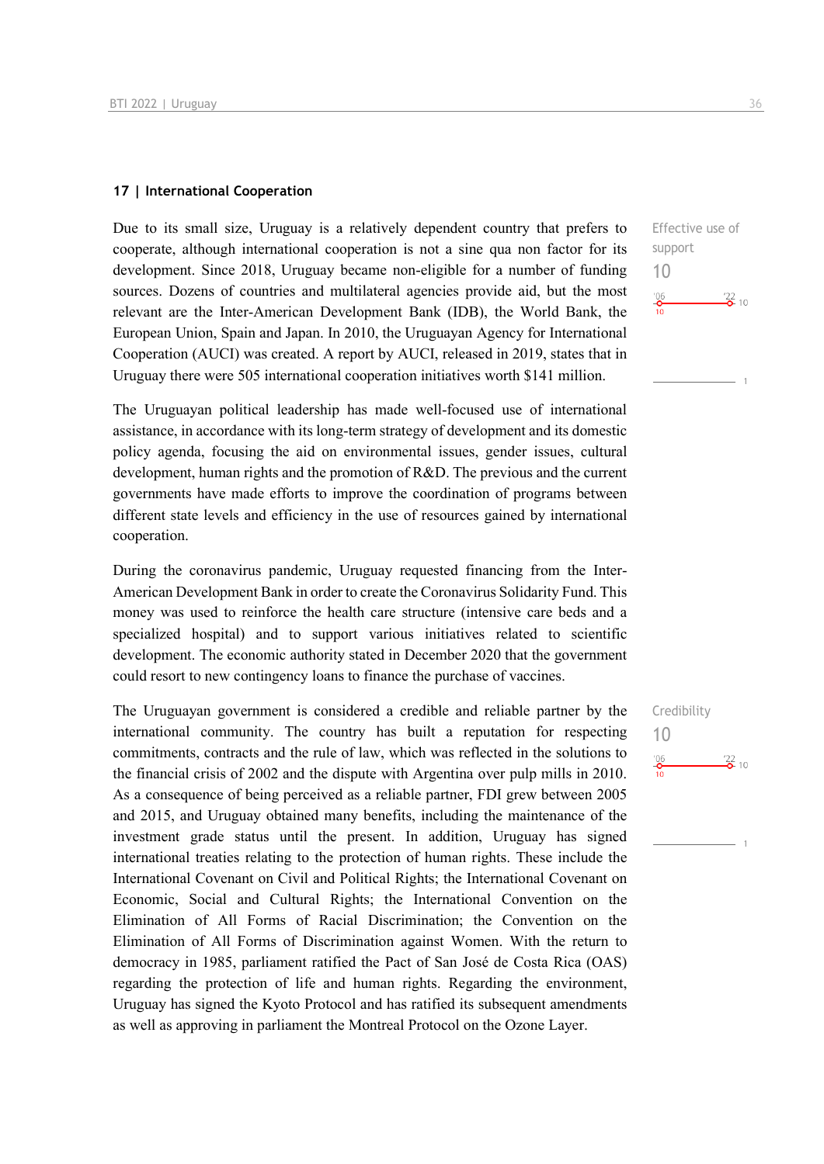### **17 | International Cooperation**

Due to its small size, Uruguay is a relatively dependent country that prefers to cooperate, although international cooperation is not a sine qua non factor for its development. Since 2018, Uruguay became non-eligible for a number of funding sources. Dozens of countries and multilateral agencies provide aid, but the most relevant are the Inter-American Development Bank (IDB), the World Bank, the European Union, Spain and Japan. In 2010, the Uruguayan Agency for International Cooperation (AUCI) was created. A report by AUCI, released in 2019, states that in Uruguay there were 505 international cooperation initiatives worth \$141 million.

The Uruguayan political leadership has made well-focused use of international assistance, in accordance with its long-term strategy of development and its domestic policy agenda, focusing the aid on environmental issues, gender issues, cultural development, human rights and the promotion of R&D. The previous and the current governments have made efforts to improve the coordination of programs between different state levels and efficiency in the use of resources gained by international cooperation.

During the coronavirus pandemic, Uruguay requested financing from the Inter-American Development Bank in order to create the Coronavirus Solidarity Fund. This money was used to reinforce the health care structure (intensive care beds and a specialized hospital) and to support various initiatives related to scientific development. The economic authority stated in December 2020 that the government could resort to new contingency loans to finance the purchase of vaccines.

The Uruguayan government is considered a credible and reliable partner by the international community. The country has built a reputation for respecting commitments, contracts and the rule of law, which was reflected in the solutions to the financial crisis of 2002 and the dispute with Argentina over pulp mills in 2010. As a consequence of being perceived as a reliable partner, FDI grew between 2005 and 2015, and Uruguay obtained many benefits, including the maintenance of the investment grade status until the present. In addition, Uruguay has signed international treaties relating to the protection of human rights. These include the International Covenant on Civil and Political Rights; the International Covenant on Economic, Social and Cultural Rights; the International Convention on the Elimination of All Forms of Racial Discrimination; the Convention on the Elimination of All Forms of Discrimination against Women. With the return to democracy in 1985, parliament ratified the Pact of San José de Costa Rica (OAS) regarding the protection of life and human rights. Regarding the environment, Uruguay has signed the Kyoto Protocol and has ratified its subsequent amendments as well as approving in parliament the Montreal Protocol on the Ozone Layer.

Effective use of support 10  $^{206}_{-0}$  $\frac{22}{2}$  10

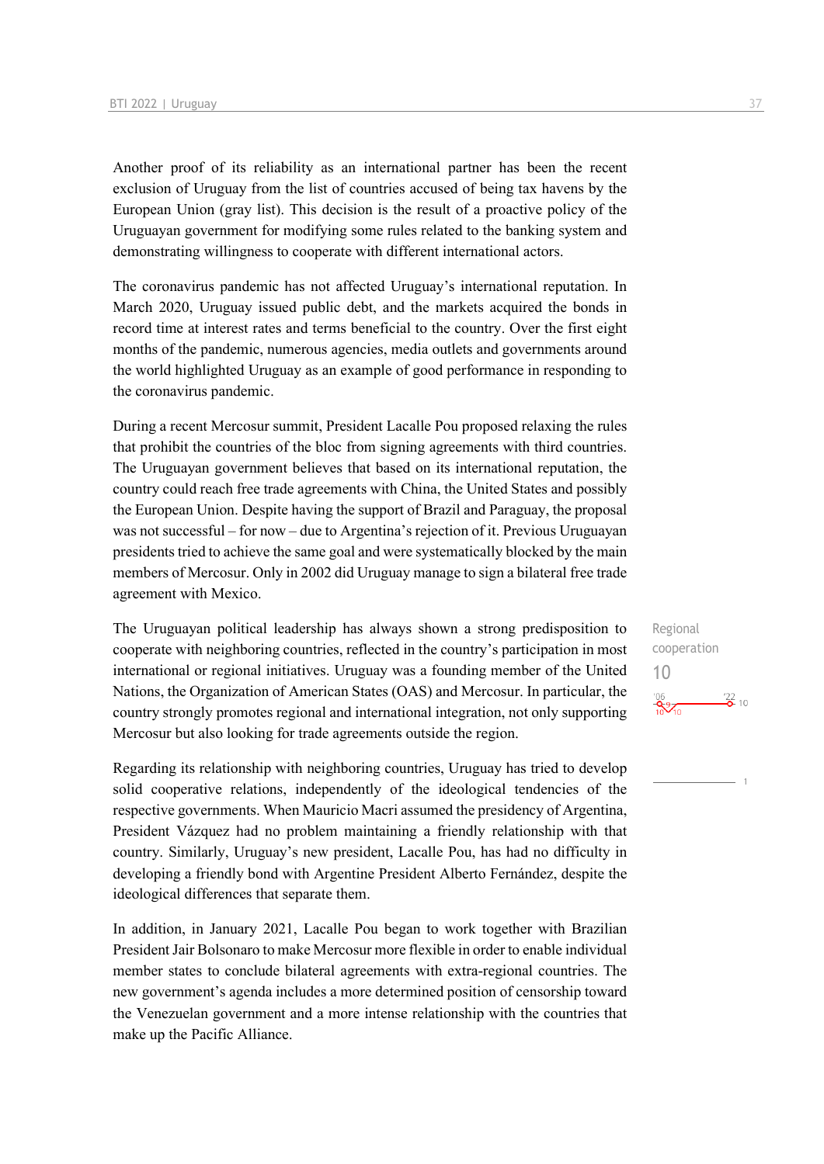Another proof of its reliability as an international partner has been the recent exclusion of Uruguay from the list of countries accused of being tax havens by the European Union (gray list). This decision is the result of a proactive policy of the Uruguayan government for modifying some rules related to the banking system and demonstrating willingness to cooperate with different international actors.

The coronavirus pandemic has not affected Uruguay's international reputation. In March 2020, Uruguay issued public debt, and the markets acquired the bonds in record time at interest rates and terms beneficial to the country. Over the first eight months of the pandemic, numerous agencies, media outlets and governments around the world highlighted Uruguay as an example of good performance in responding to the coronavirus pandemic.

During a recent Mercosur summit, President Lacalle Pou proposed relaxing the rules that prohibit the countries of the bloc from signing agreements with third countries. The Uruguayan government believes that based on its international reputation, the country could reach free trade agreements with China, the United States and possibly the European Union. Despite having the support of Brazil and Paraguay, the proposal was not successful – for now – due to Argentina's rejection of it. Previous Uruguayan presidents tried to achieve the same goal and were systematically blocked by the main members of Mercosur. Only in 2002 did Uruguay manage to sign a bilateral free trade agreement with Mexico.

The Uruguayan political leadership has always shown a strong predisposition to cooperate with neighboring countries, reflected in the country's participation in most international or regional initiatives. Uruguay was a founding member of the United Nations, the Organization of American States (OAS) and Mercosur. In particular, the country strongly promotes regional and international integration, not only supporting Mercosur but also looking for trade agreements outside the region.

Regarding its relationship with neighboring countries, Uruguay has tried to develop solid cooperative relations, independently of the ideological tendencies of the respective governments. When Mauricio Macri assumed the presidency of Argentina, President Vázquez had no problem maintaining a friendly relationship with that country. Similarly, Uruguay's new president, Lacalle Pou, has had no difficulty in developing a friendly bond with Argentine President Alberto Fernández, despite the ideological differences that separate them.

In addition, in January 2021, Lacalle Pou began to work together with Brazilian President Jair Bolsonaro to make Mercosur more flexible in order to enable individual member states to conclude bilateral agreements with extra-regional countries. The new government's agenda includes a more determined position of censorship toward the Venezuelan government and a more intense relationship with the countries that make up the Pacific Alliance.

Regional cooperation 10 $\frac{106}{10^{9}}$  $\frac{22}{2}$  10